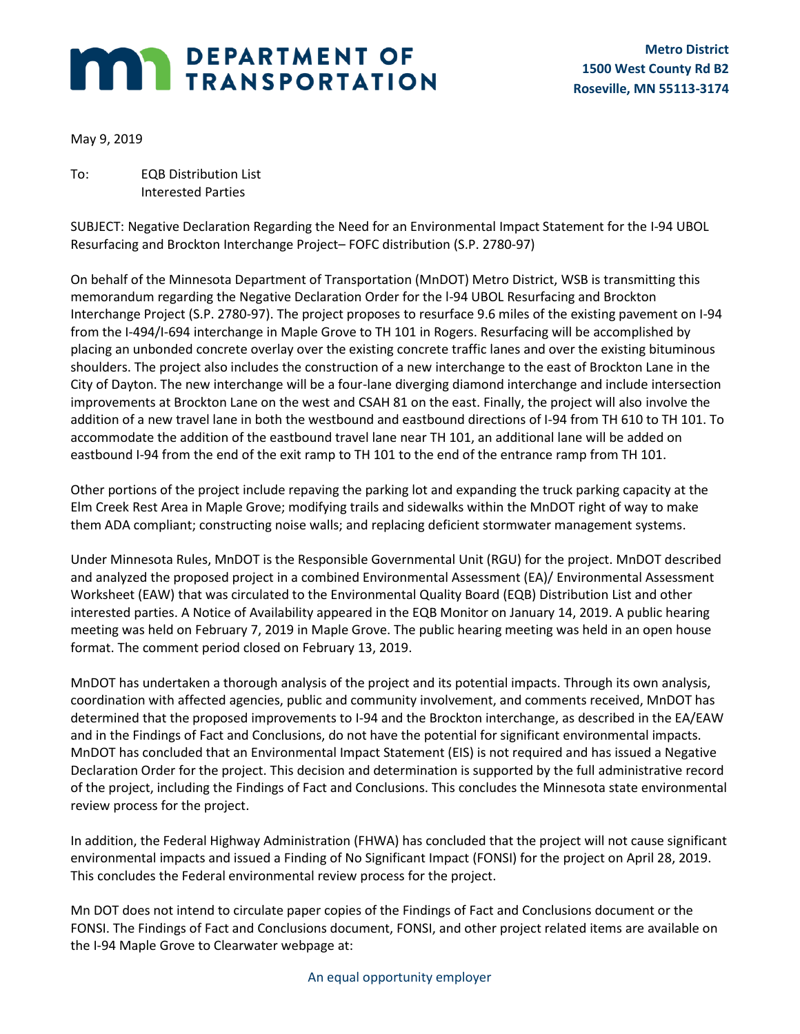# **MARI DEPARTMENT OF TRANSPORTATION**

May 9, 2019

To: EQB Distribution List Interested Parties

SUBJECT: Negative Declaration Regarding the Need for an Environmental Impact Statement for the I-94 UBOL Resurfacing and Brockton Interchange Project– FOFC distribution (S.P. 2780-97)

On behalf of the Minnesota Department of Transportation (MnDOT) Metro District, WSB is transmitting this memorandum regarding the Negative Declaration Order for the l-94 UBOL Resurfacing and Brockton Interchange Project (S.P. 2780-97). The project proposes to resurface 9.6 miles of the existing pavement on I-94 from the I-494/I-694 interchange in Maple Grove to TH 101 in Rogers. Resurfacing will be accomplished by placing an unbonded concrete overlay over the existing concrete traffic lanes and over the existing bituminous shoulders. The project also includes the construction of a new interchange to the east of Brockton Lane in the City of Dayton. The new interchange will be a four-lane diverging diamond interchange and include intersection improvements at Brockton Lane on the west and CSAH 81 on the east. Finally, the project will also involve the addition of a new travel lane in both the westbound and eastbound directions of I-94 from TH 610 to TH 101. To accommodate the addition of the eastbound travel lane near TH 101, an additional lane will be added on eastbound I-94 from the end of the exit ramp to TH 101 to the end of the entrance ramp from TH 101.

Other portions of the project include repaving the parking lot and expanding the truck parking capacity at the Elm Creek Rest Area in Maple Grove; modifying trails and sidewalks within the MnDOT right of way to make them ADA compliant; constructing noise walls; and replacing deficient stormwater management systems.

Under Minnesota Rules, MnDOT is the Responsible Governmental Unit (RGU) for the project. MnDOT described and analyzed the proposed project in a combined Environmental Assessment (EA)/ Environmental Assessment Worksheet (EAW) that was circulated to the Environmental Quality Board (EQB) Distribution List and other interested parties. A Notice of Availability appeared in the EQB Monitor on January 14, 2019. A public hearing meeting was held on February 7, 2019 in Maple Grove. The public hearing meeting was held in an open house format. The comment period closed on February 13, 2019.

MnDOT has undertaken a thorough analysis of the project and its potential impacts. Through its own analysis, coordination with affected agencies, public and community involvement, and comments received, MnDOT has determined that the proposed improvements to I-94 and the Brockton interchange, as described in the EA/EAW and in the Findings of Fact and Conclusions, do not have the potential for significant environmental impacts. MnDOT has concluded that an Environmental Impact Statement (EIS) is not required and has issued a Negative Declaration Order for the project. This decision and determination is supported by the full administrative record of the project, including the Findings of Fact and Conclusions. This concludes the Minnesota state environmental review process for the project.

In addition, the Federal Highway Administration (FHWA) has concluded that the project will not cause significant environmental impacts and issued a Finding of No Significant Impact (FONSI) for the project on April 28, 2019. This concludes the Federal environmental review process for the project.

Mn DOT does not intend to circulate paper copies of the Findings of Fact and Conclusions document or the FONSI. The Findings of Fact and Conclusions document, FONSI, and other project related items are available on the I-94 Maple Grove to Clearwater webpage at: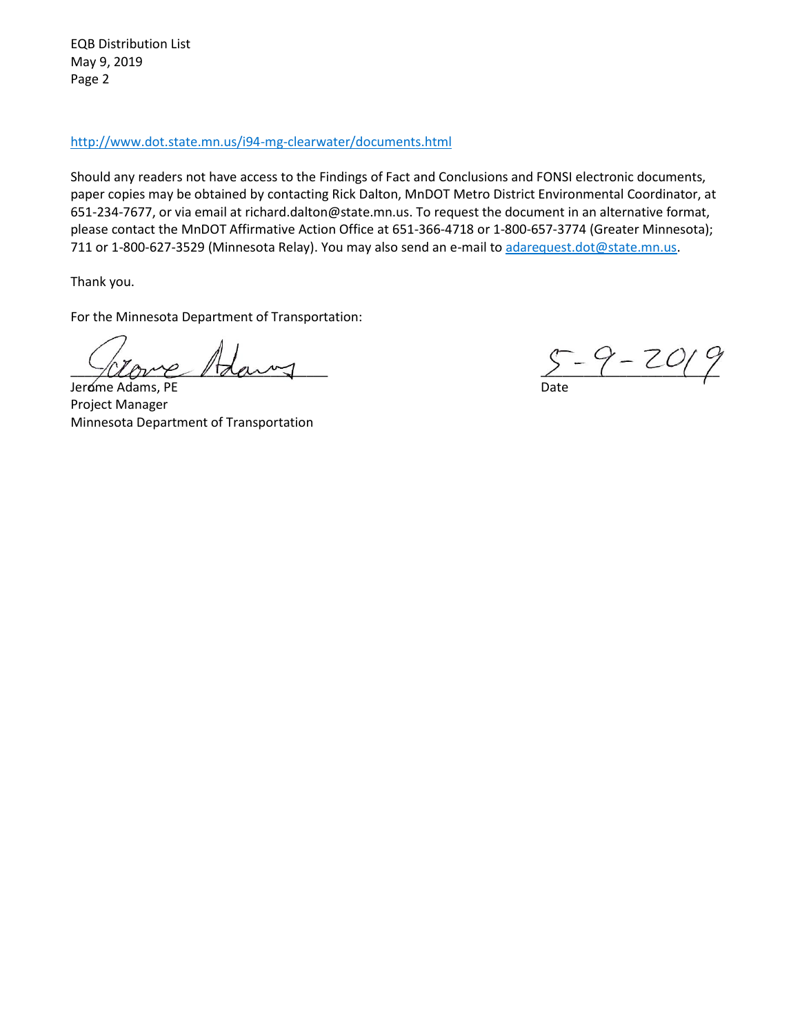EQB Distribution List May 9, 2019 Page 2

#### [http://www.dot.state.mn.us/i94-mg-clearwater/documents.html](https://protect-us.mimecast.com/s/3AOaCL9Y66F2ZVAFBnVy7?domain=dot.state.mn.us)

Should any readers not have access to the Findings of Fact and Conclusions and FONSI electronic documents, paper copies may be obtained by contacting Rick Dalton, MnDOT Metro District Environmental Coordinator, at 651-234-7677, or via email at richard.dalton@state.mn.us. To request the document in an alternative format, please contact the MnDOT Affirmative Action Office at 651-366-4718 or 1-800-657-3774 (Greater Minnesota); 711 or 1-800-627-3529 (Minnesota Relay). You may also send an e-mail to [adarequest.dot@state.mn.us.](mailto:adarequest.dot@state.mn.us)

Thank you.

For the Minnesota Department of Transportation:

Jerome Adams, PE Date Project Manager Minnesota Department of Transportation

 $5 - 9 - 20$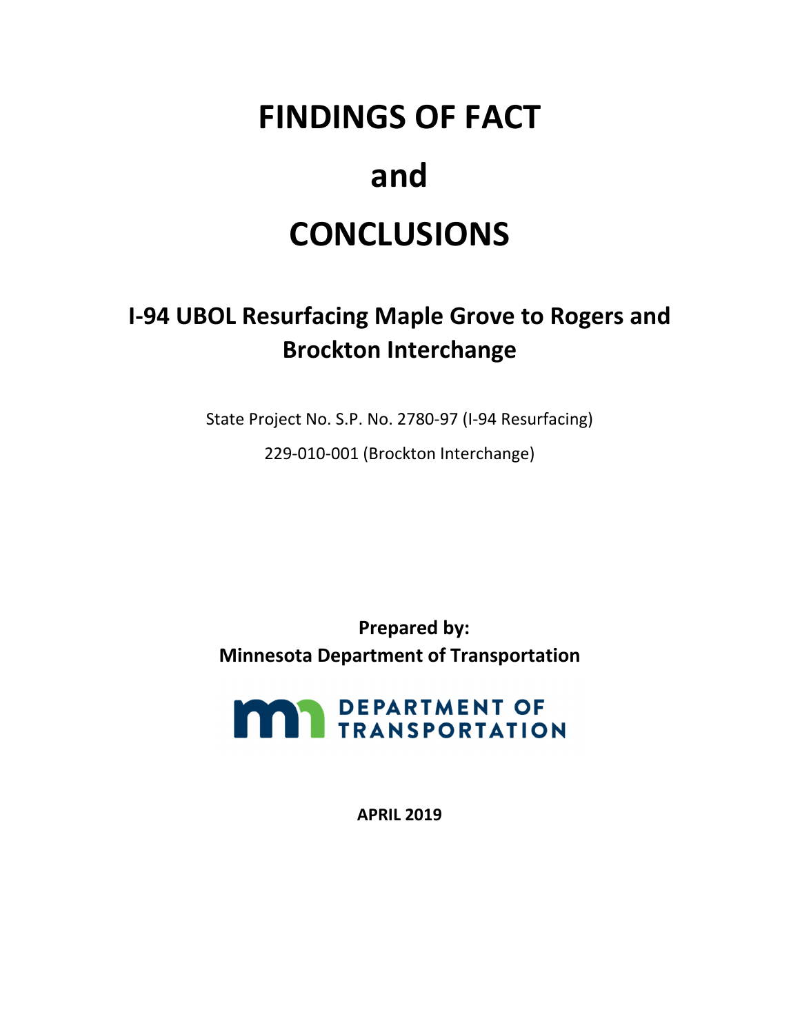## **FINDINGS OF FACT**

### **and**

### **CONCLUSIONS**

### **I‐94 UBOL Resurfacing Maple Grove to Rogers and Brockton Interchange**

State Project No. S.P. No. 2780‐97 (I‐94 Resurfacing)

229‐010‐001 (Brockton Interchange)

 **Prepared by: Minnesota Department of Transportation**



**APRIL 2019**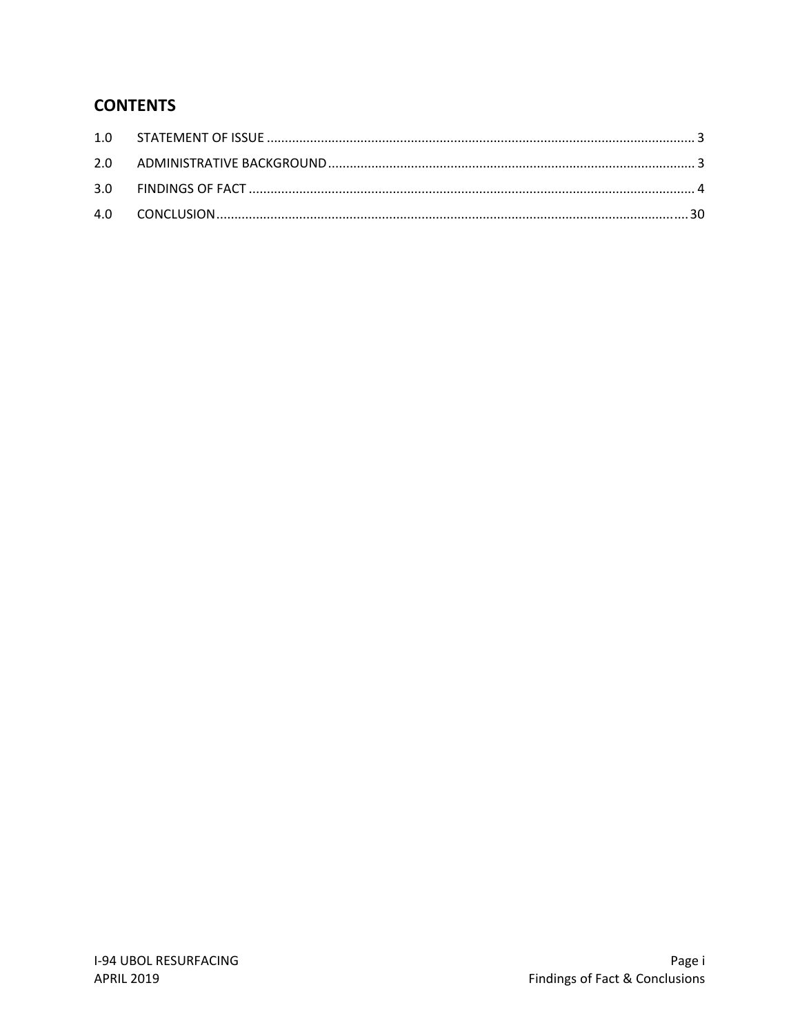#### **CONTENTS**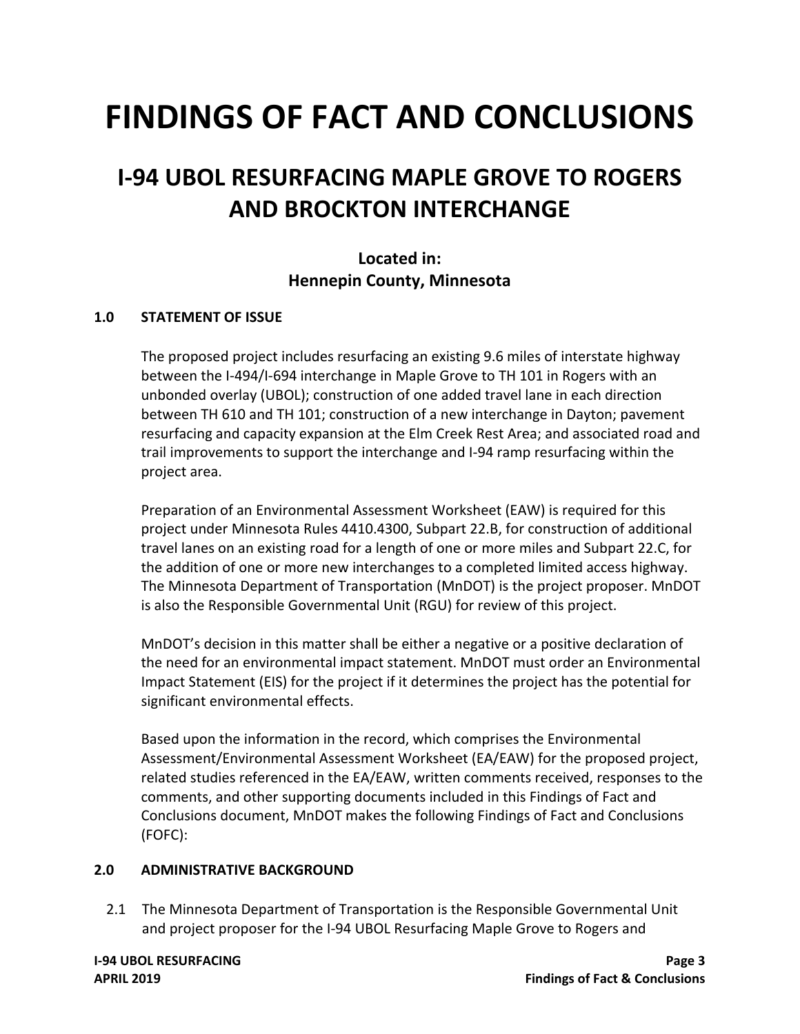# **FINDINGS OF FACT AND CONCLUSIONS**

### **I‐94 UBOL RESURFACING MAPLE GROVE TO ROGERS AND BROCKTON INTERCHANGE**

#### **Located in: Hennepin County, Minnesota**

#### **1.0 STATEMENT OF ISSUE**

 The proposed project includes resurfacing an existing 9.6 miles of interstate highway between the I‐494/I‐694 interchange in Maple Grove to TH 101 in Rogers with an unbonded overlay (UBOL); construction of one added travel lane in each direction between TH 610 and TH 101; construction of a new interchange in Dayton; pavement resurfacing and capacity expansion at the Elm Creek Rest Area; and associated road and trail improvements to support the interchange and I‐94 ramp resurfacing within the project area.

 Preparation of an Environmental Assessment Worksheet (EAW) is required for this project under Minnesota Rules 4410.4300, Subpart 22.B, for construction of additional travel lanes on an existing road for a length of one or more miles and Subpart 22.C, for the addition of one or more new interchanges to a completed limited access highway. The Minnesota Department of Transportation (MnDOT) is the project proposer. MnDOT is also the Responsible Governmental Unit (RGU) for review of this project.

 MnDOT's decision in this matter shall be either a negative or a positive declaration of the need for an environmental impact statement. MnDOT must order an Environmental Impact Statement (EIS) for the project if it determines the project has the potential for significant environmental effects.

 Based upon the information in the record, which comprises the Environmental Assessment/Environmental Assessment Worksheet (EA/EAW) for the proposed project, related studies referenced in the EA/EAW, written comments received, responses to the comments, and other supporting documents included in this Findings of Fact and Conclusions document, MnDOT makes the following Findings of Fact and Conclusions (FOFC):

#### **2.0 ADMINISTRATIVE BACKGROUND**

 2.1 The Minnesota Department of Transportation is the Responsible Governmental Unit and project proposer for the I‐94 UBOL Resurfacing Maple Grove to Rogers and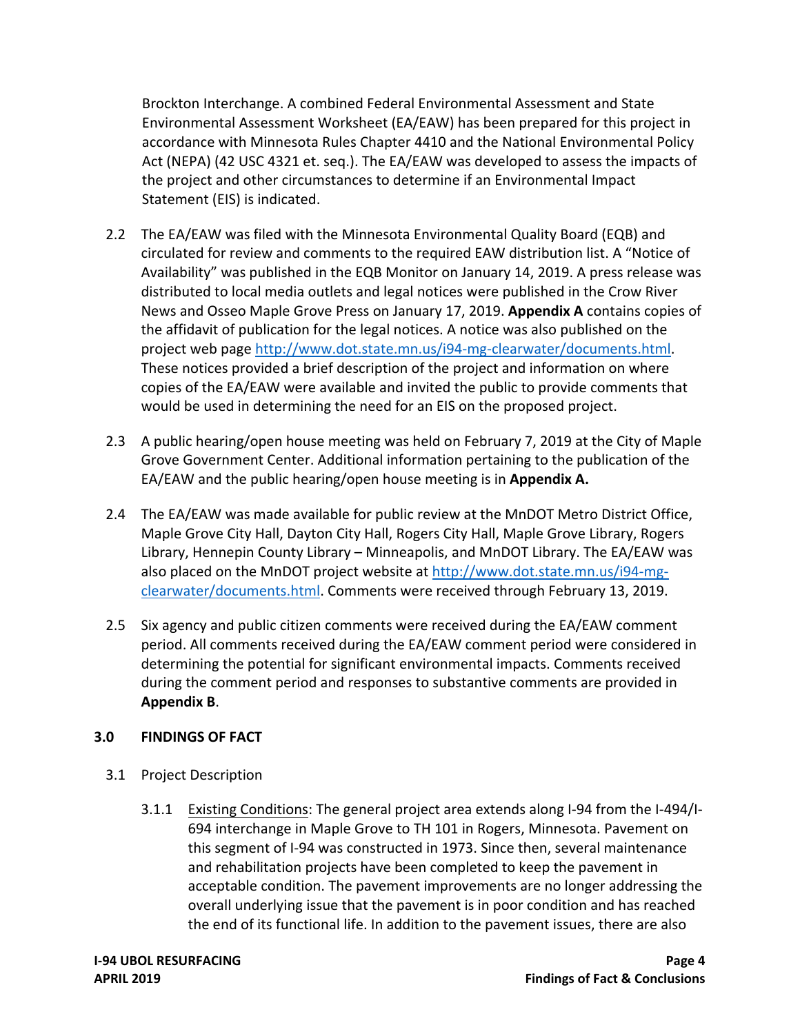Brockton Interchange. A combined Federal Environmental Assessment and State Environmental Assessment Worksheet (EA/EAW) has been prepared for this project in accordance with Minnesota Rules Chapter 4410 and the National Environmental Policy Act (NEPA) (42 USC 4321 et. seq.). The EA/EAW was developed to assess the impacts of the project and other circumstances to determine if an Environmental Impact Statement (EIS) is indicated.

- 2.2 The EA/EAW was filed with the Minnesota Environmental Quality Board (EQB) and circulated for review and comments to the required EAW distribution list. A "Notice of Availability" was published in the EQB Monitor on January 14, 2019. A press release was distributed to local media outlets and legal notices were published in the Crow River News and Osseo Maple Grove Press on January 17, 2019. **Appendix A** contains copies of the affidavit of publication for the legal notices. A notice was also published on the project web page [http://www.dot.state.mn.us/i94](http://www.dot.state.mn.us/i94-mg-clearwater/documents.html)‐mg‐clearwater/documents.html. These notices provided a brief description of the project and information on where copies of the EA/EAW were available and invited the public to provide comments that would be used in determining the need for an EIS on the proposed project.
- 2.3 A public hearing/open house meeting was held on February 7, 2019 at the City of Maple Grove Government Center. Additional information pertaining to the publication of the  EA/EAW and the public hearing/open house meeting is in **Appendix A.**
- 2.4 The EA/EAW was made available for public review at the MnDOT Metro District Office, Maple Grove City Hall, Dayton City Hall, Rogers City Hall, Maple Grove Library, Rogers Library, Hennepin County Library – Minneapolis, and MnDOT Library. The EA/EAW was also placed on the MnDOT project website at [http://www.dot.state.mn.us/i94](http://www.dot.state.mn.us/i94-mg)-mgclearwater/documents.html</u>. Comments were received through February 13, 2019.
- 2.5 Six agency and public citizen comments were received during the EA/EAW comment period. All comments received during the EA/EAW comment period were considered in determining the potential for significant environmental impacts. Comments received during the comment period and responses to substantive comments are provided in **Appendix B**.

#### **3.0 FINDINGS OF FACT**

- 3.1 Project Description
	- 3.1.1 Existing Conditions: The general project area extends along I-94 from the I-494/I- 694 interchange in Maple Grove to TH 101 in Rogers, Minnesota. Pavement on this segment of I‐94 was constructed in 1973. Since then, several maintenance and rehabilitation projects have been completed to keep the pavement in acceptable condition. The pavement improvements are no longer addressing the overall underlying issue that the pavement is in poor condition and has reached the end of its functional life. In addition to the pavement issues, there are also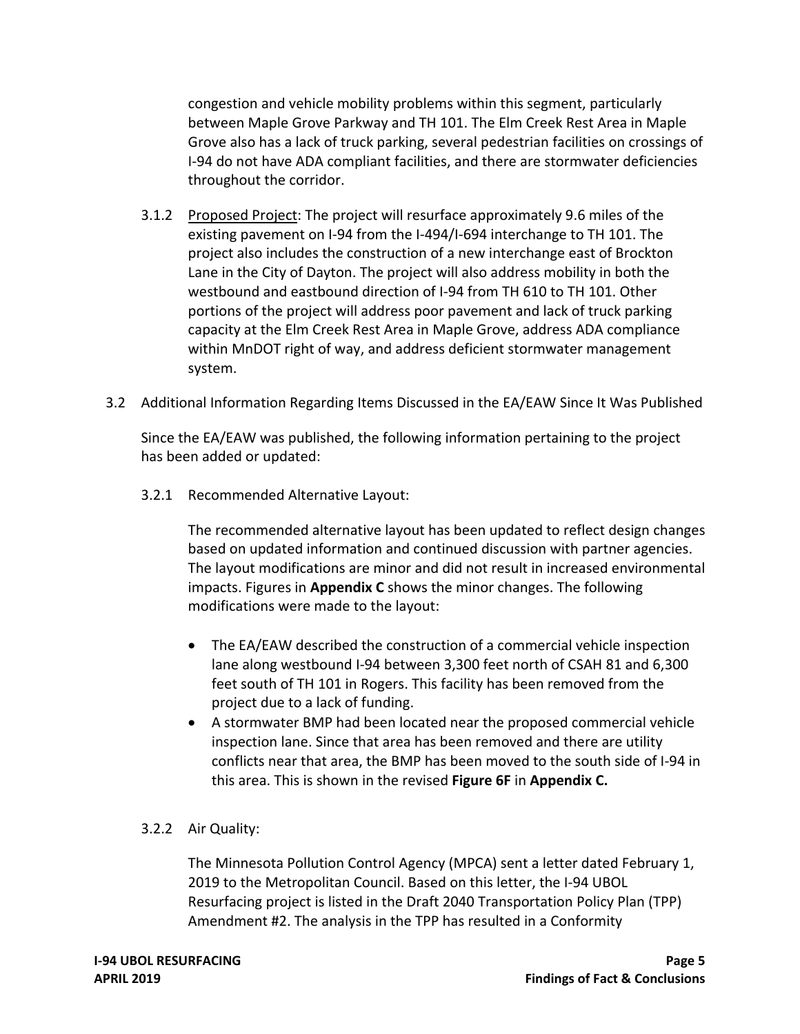congestion and vehicle mobility problems within this segment, particularly between Maple Grove Parkway and TH 101. The Elm Creek Rest Area in Maple Grove also has a lack of truck parking, several pedestrian facilities on crossings of I‐94 do not have ADA compliant facilities, and there are stormwater deficiencies throughout the corridor.

- 3.1.2 Proposed Project: The project will resurface approximately 9.6 miles of the existing pavement on I‐94 from the I‐494/I‐694 interchange to TH 101. The project also includes the construction of a new interchange east of Brockton Lane in the City of Dayton. The project will also address mobility in both the westbound and eastbound direction of I‐94 from TH 610 to TH 101. Other portions of the project will address poor pavement and lack of truck parking capacity at the Elm Creek Rest Area in Maple Grove, address ADA compliance within MnDOT right of way, and address deficient stormwater management system.
- 3.2 Additional Information Regarding Items Discussed in the EA/EAW Since It Was Published

 Since the EA/EAW was published, the following information pertaining to the project has been added or updated:

3.2.1 Recommended Alternative Layout:

 The recommended alternative layout has been updated to reflect design changes based on updated information and continued discussion with partner agencies. The layout modifications are minor and did not result in increased environmental  impacts. Figures in **Appendix C** shows the minor changes. The following modifications were made to the layout:

- The EA/EAW described the construction of a commercial vehicle inspection lane along westbound I‐94 between 3,300 feet north of CSAH 81 and 6,300 feet south of TH 101 in Rogers. This facility has been removed from the project due to a lack of funding.
- A stormwater BMP had been located near the proposed commercial vehicle inspection lane. Since that area has been removed and there are utility conflicts near that area, the BMP has been moved to the south side of I‐94 in this area. This is shown in the revised **Figure 6F** in **Appendix C.**

#### 3.2.2 Air Quality:

 The Minnesota Pollution Control Agency (MPCA) sent a letter dated February 1, 2019 to the Metropolitan Council. Based on this letter, the I‐94 UBOL Resurfacing project is listed in the Draft 2040 Transportation Policy Plan (TPP) Amendment #2. The analysis in the TPP has resulted in a Conformity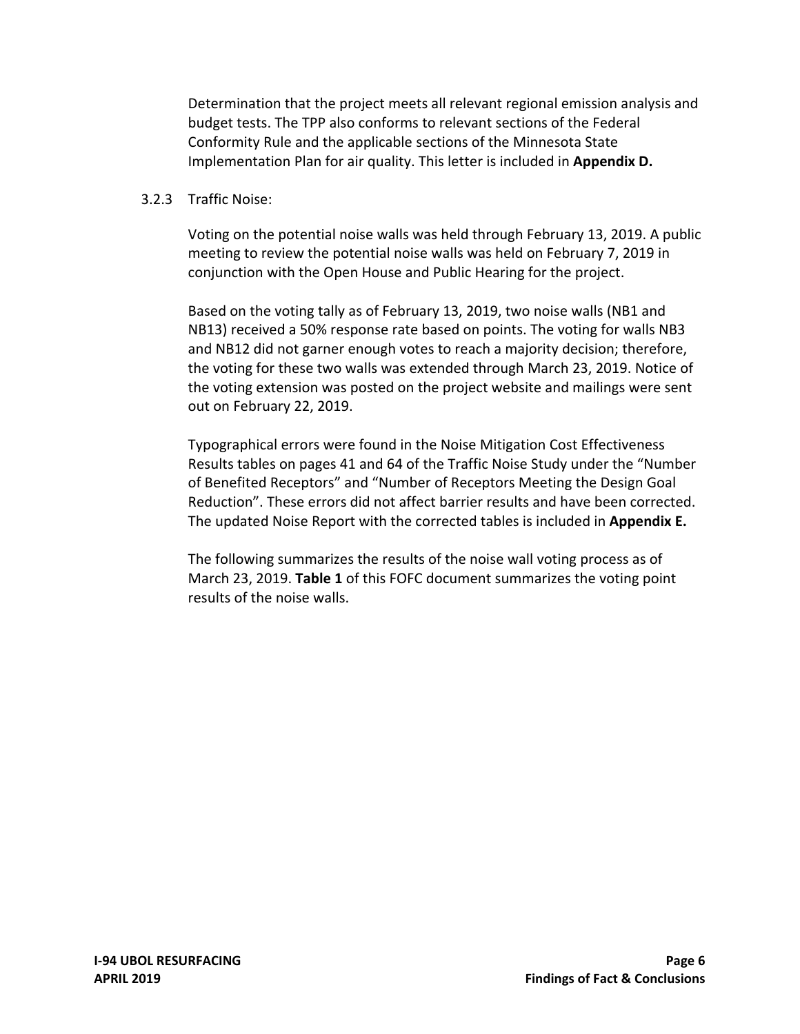Determination that the project meets all relevant regional emission analysis and budget tests. The TPP also conforms to relevant sections of the Federal Conformity Rule and the applicable sections of the Minnesota State  Implementation Plan for air quality. This letter is included in **Appendix D.**

#### 3.2.3 Traffic Noise:

 Voting on the potential noise walls was held through February 13, 2019. A public meeting to review the potential noise walls was held on February 7, 2019 in conjunction with the Open House and Public Hearing for the project.

 Based on the voting tally as of February 13, 2019, two noise walls (NB1 and NB13) received a 50% response rate based on points. The voting for walls NB3 and NB12 did not garner enough votes to reach a majority decision; therefore, the voting for these two walls was extended through March 23, 2019. Notice of the voting extension was posted on the project website and mailings were sent out on February 22, 2019.

 Typographical errors were found in the Noise Mitigation Cost Effectiveness Results tables on pages 41 and 64 of the Traffic Noise Study under the "Number of Benefited Receptors" and "Number of Receptors Meeting the Design Goal Reduction". These errors did not affect barrier results and have been corrected. The updated Noise Report with the corrected tables is included in **Appendix E.**

 The following summarizes the results of the noise wall voting process as of March 23, 2019. **Table 1** of this FOFC document summarizes the voting point results of the noise walls.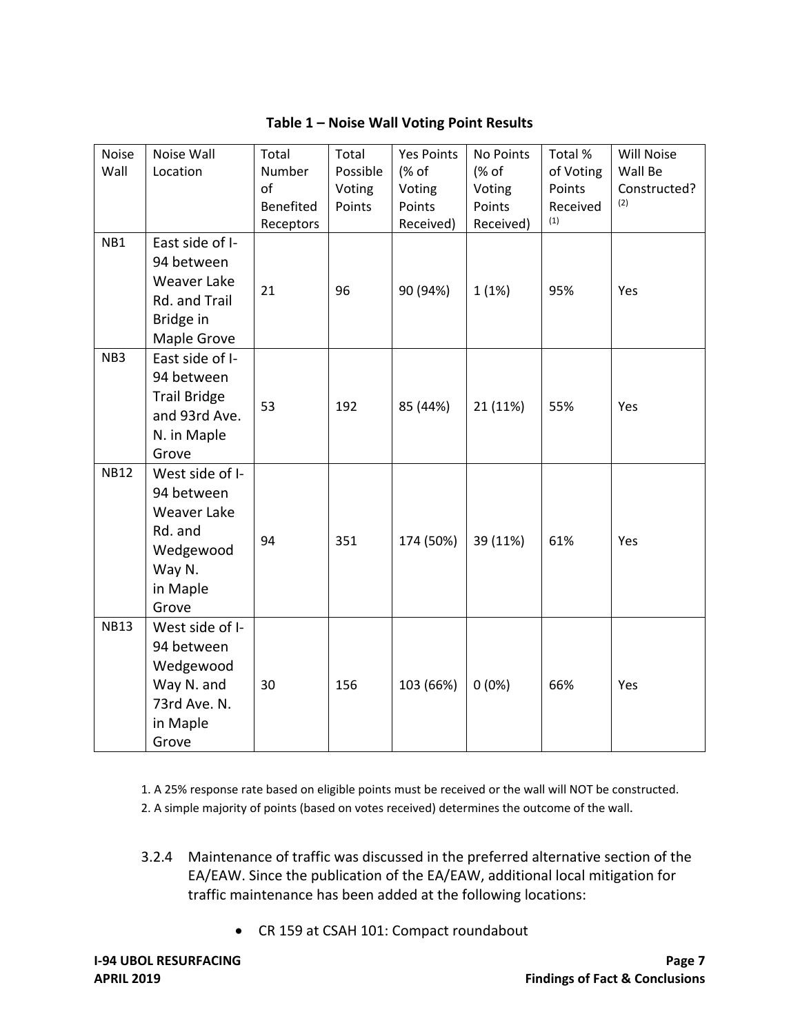| <b>Noise</b><br>Wall | Noise Wall<br>Location                                                                                     | Total<br>Number<br>of<br><b>Benefited</b><br>Receptors | Total<br>Possible<br>Voting<br>Points | <b>Yes Points</b><br>(% of<br>Voting<br>Points<br>Received) | No Points<br>(% of<br>Voting<br>Points<br>Received) | Total %<br>of Voting<br>Points<br>Received<br>(1) | Will Noise<br>Wall Be<br>Constructed?<br>(2) |
|----------------------|------------------------------------------------------------------------------------------------------------|--------------------------------------------------------|---------------------------------------|-------------------------------------------------------------|-----------------------------------------------------|---------------------------------------------------|----------------------------------------------|
| NB1                  | East side of I-<br>94 between<br>Weaver Lake<br>Rd. and Trail<br>Bridge in<br>Maple Grove                  | 21                                                     | 96                                    | 90 (94%)                                                    | 1(1%)                                               | 95%                                               | Yes                                          |
| NB <sub>3</sub>      | East side of I-<br>94 between<br><b>Trail Bridge</b><br>and 93rd Ave.<br>N. in Maple<br>Grove              | 53                                                     | 192                                   | 85 (44%)                                                    | 21 (11%)                                            | 55%                                               | <b>Yes</b>                                   |
| <b>NB12</b>          | West side of I-<br>94 between<br><b>Weaver Lake</b><br>Rd. and<br>Wedgewood<br>Way N.<br>in Maple<br>Grove | 94                                                     | 351                                   | 174 (50%)                                                   | 39 (11%)                                            | 61%                                               | Yes                                          |
| <b>NB13</b>          | West side of I-<br>94 between<br>Wedgewood<br>Way N. and<br>73rd Ave. N.<br>in Maple<br>Grove              | 30                                                     | 156                                   | 103 (66%)                                                   | 0(0%)                                               | 66%                                               | Yes                                          |

|  | Table 1 - Noise Wall Voting Point Results |
|--|-------------------------------------------|
|--|-------------------------------------------|

 1. A 25% response rate based on eligible points must be received or the wall will NOT be constructed. 2. A simple majority of points (based on votes received) determines the outcome of the wall.

- 3.2.4 Maintenance of traffic was discussed in the preferred alternative section of the EA/EAW. Since the publication of the EA/EAW, additional local mitigation for traffic maintenance has been added at the following locations:
	- CR 159 at CSAH 101: Compact roundabout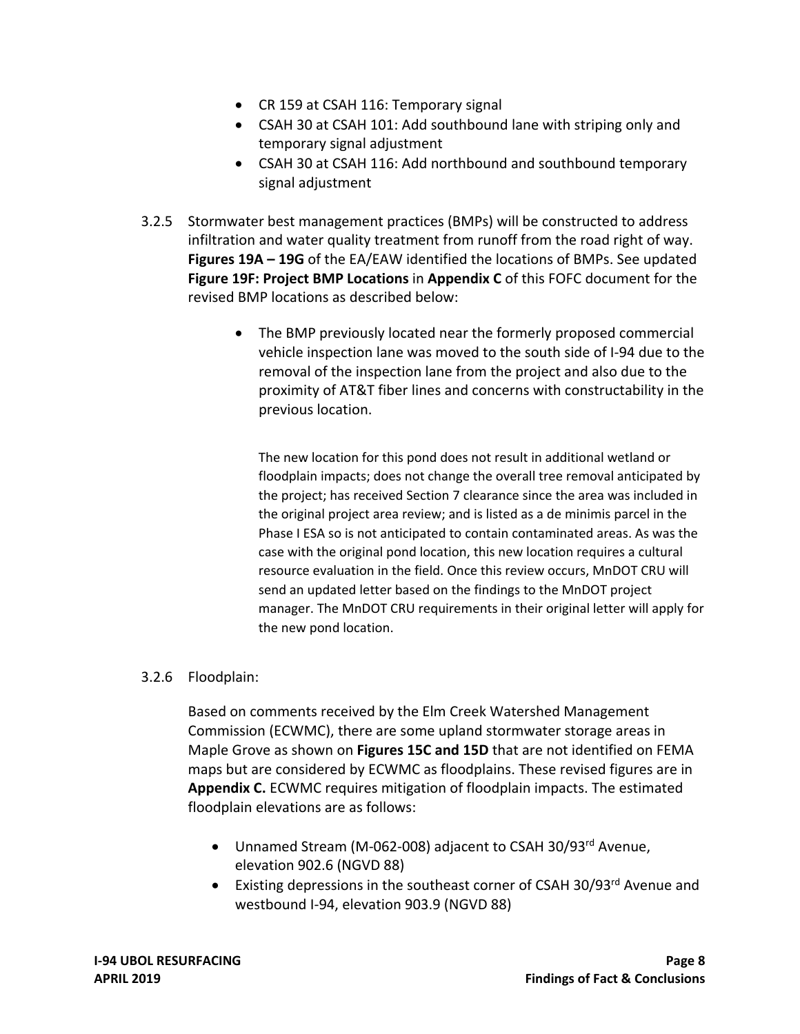- CR 159 at CSAH 116: Temporary signal
- CSAH 30 at CSAH 101: Add southbound lane with striping only and temporary signal adjustment
- CSAH 30 at CSAH 116: Add northbound and southbound temporary signal adjustment
- 3.2.5 Stormwater best management practices (BMPs) will be constructed to address infiltration and water quality treatment from runoff from the road right of way.  **Figures 19A – 19G** of the EA/EAW identified the locations of BMPs. See updated  **Figure 19F: Project BMP Locations** in **Appendix C** of this FOFC document for the revised BMP locations as described below:
	- The BMP previously located near the formerly proposed commercial vehicle inspection lane was moved to the south side of I‐94 due to the removal of the inspection lane from the project and also due to the proximity of AT&T fiber lines and concerns with constructability in the previous location.

 The new location for this pond does not result in additional wetland or floodplain impacts; does not change the overall tree removal anticipated by the project; has received Section 7 clearance since the area was included in the original project area review; and is listed as a de minimis parcel in the Phase I ESA so is not anticipated to contain contaminated areas. As was the case with the original pond location, this new location requires a cultural resource evaluation in the field. Once this review occurs, MnDOT CRU will send an updated letter based on the findings to the MnDOT project manager. The MnDOT CRU requirements in their original letter will apply for the new pond location.

#### 3.2.6 Floodplain:

 Based on comments received by the Elm Creek Watershed Management Commission (ECWMC), there are some upland stormwater storage areas in  Maple Grove as shown on **Figures 15C and 15D** that are not identified on FEMA maps but are considered by ECWMC as floodplains. These revised figures are in  **Appendix C.** ECWMC requires mitigation of floodplain impacts. The estimated floodplain elevations are as follows:

- Unnamed Stream (M-062-008) adjacent to CSAH 30/93rd Avenue, elevation 902.6 (NGVD 88)
- Existing depressions in the southeast corner of CSAH 30/93<sup>rd</sup> Avenue and westbound I‐94, elevation 903.9 (NGVD 88)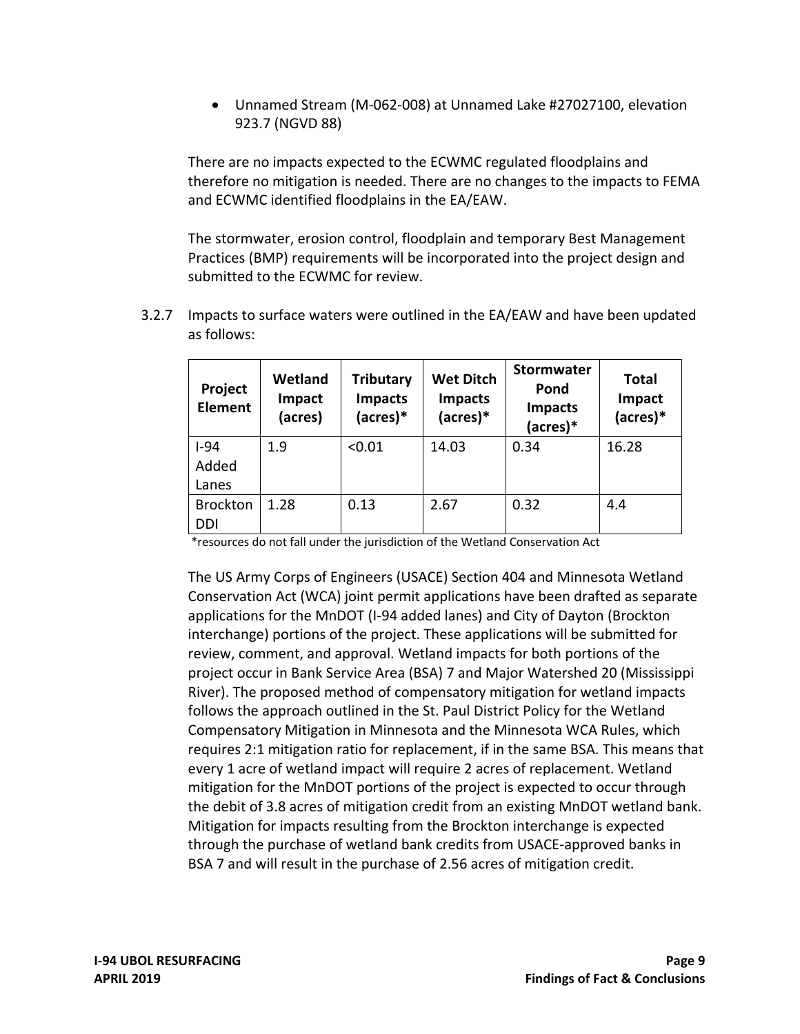Unnamed Stream (M‐062‐008) at Unnamed Lake #27027100, elevation 923.7 (NGVD 88)

 There are no impacts expected to the ECWMC regulated floodplains and therefore no mitigation is needed. There are no changes to the impacts to FEMA and ECWMC identified floodplains in the EA/EAW.

 The stormwater, erosion control, floodplain and temporary Best Management Practices (BMP) requirements will be incorporated into the project design and submitted to the ECWMC for review.

 3.2.7 Impacts to surface waters were outlined in the EA/EAW and have been updated as follows:

| Project<br><b>Element</b> | <b>Wetland</b><br>Impact<br>(acres) | <b>Tributary</b><br><b>Impacts</b><br>(acres)* | <b>Wet Ditch</b><br><b>Impacts</b><br>(acres)* | <b>Stormwater</b><br>Pond<br><b>Impacts</b><br>(acres)* | <b>Total</b><br>Impact<br>(acres)* |
|---------------------------|-------------------------------------|------------------------------------------------|------------------------------------------------|---------------------------------------------------------|------------------------------------|
| $I-94$                    | 1.9                                 | < 0.01                                         | 14.03                                          | 0.34                                                    | 16.28                              |
| Added                     |                                     |                                                |                                                |                                                         |                                    |
| Lanes                     |                                     |                                                |                                                |                                                         |                                    |
| <b>Brockton</b>           | 1.28                                | 0.13                                           | 2.67                                           | 0.32                                                    | 4.4                                |
| DDI                       |                                     |                                                |                                                |                                                         |                                    |

\*resources do not fall under the jurisdiction of the Wetland Conservation Act

 The US Army Corps of Engineers (USACE) Section 404 and Minnesota Wetland Conservation Act (WCA) joint permit applications have been drafted as separate applications for the MnDOT (I‐94 added lanes) and City of Dayton (Brockton interchange) portions of the project. These applications will be submitted for review, comment, and approval. Wetland impacts for both portions of the project occur in Bank Service Area (BSA) 7 and Major Watershed 20 (Mississippi River). The proposed method of compensatory mitigation for wetland impacts follows the approach outlined in the St. Paul District Policy for the Wetland Compensatory Mitigation in Minnesota and the Minnesota WCA Rules, which requires 2:1 mitigation ratio for replacement, if in the same BSA. This means that every 1 acre of wetland impact will require 2 acres of replacement. Wetland mitigation for the MnDOT portions of the project is expected to occur through the debit of 3.8 acres of mitigation credit from an existing MnDOT wetland bank. Mitigation for impacts resulting from the Brockton interchange is expected through the purchase of wetland bank credits from USACE‐approved banks in BSA 7 and will result in the purchase of 2.56 acres of mitigation credit.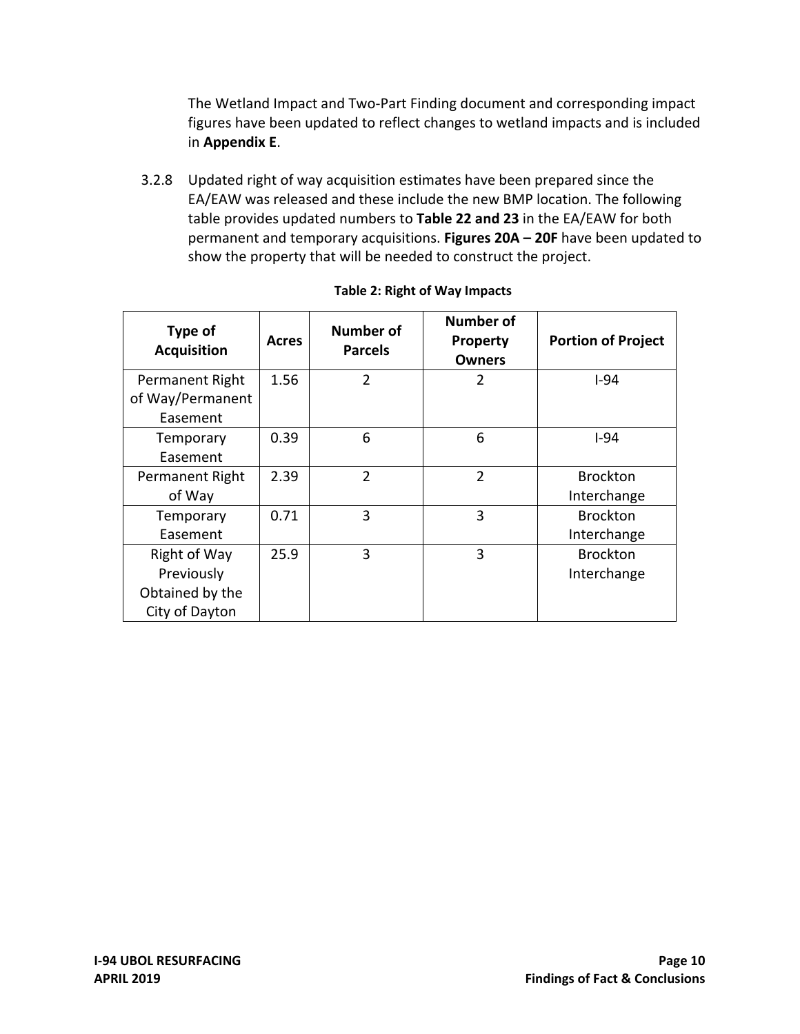The Wetland Impact and Two‐Part Finding document and corresponding impact figures have been updated to reflect changes to wetland impacts and is included in **Appendix E**.

 3.2.8 Updated right of way acquisition estimates have been prepared since the EA/EAW was released and these include the new BMP location. The following  table provides updated numbers to **Table 22 and 23** in the EA/EAW for both  permanent and temporary acquisitions. **Figures 20A – 20F** have been updated to show the property that will be needed to construct the project.

| Type of<br><b>Acquisition</b>                                   | <b>Acres</b> | <b>Number of</b><br><b>Parcels</b> | <b>Number of</b><br><b>Property</b><br><b>Owners</b> | <b>Portion of Project</b>      |
|-----------------------------------------------------------------|--------------|------------------------------------|------------------------------------------------------|--------------------------------|
| Permanent Right<br>of Way/Permanent<br>Easement                 | 1.56         | $\mathfrak{p}$                     | $\overline{2}$                                       | $1-94$                         |
| Temporary<br>Easement                                           | 0.39         | 6                                  | 6                                                    | $1-94$                         |
| Permanent Right<br>of Way                                       | 2.39         | $\overline{2}$                     | $\overline{2}$                                       | <b>Brockton</b><br>Interchange |
| Temporary<br>Easement                                           | 0.71         | 3                                  | 3                                                    | <b>Brockton</b><br>Interchange |
| Right of Way<br>Previously<br>Obtained by the<br>City of Dayton | 25.9         | 3                                  | 3                                                    | <b>Brockton</b><br>Interchange |

#### **Table 2: Right of Way Impacts**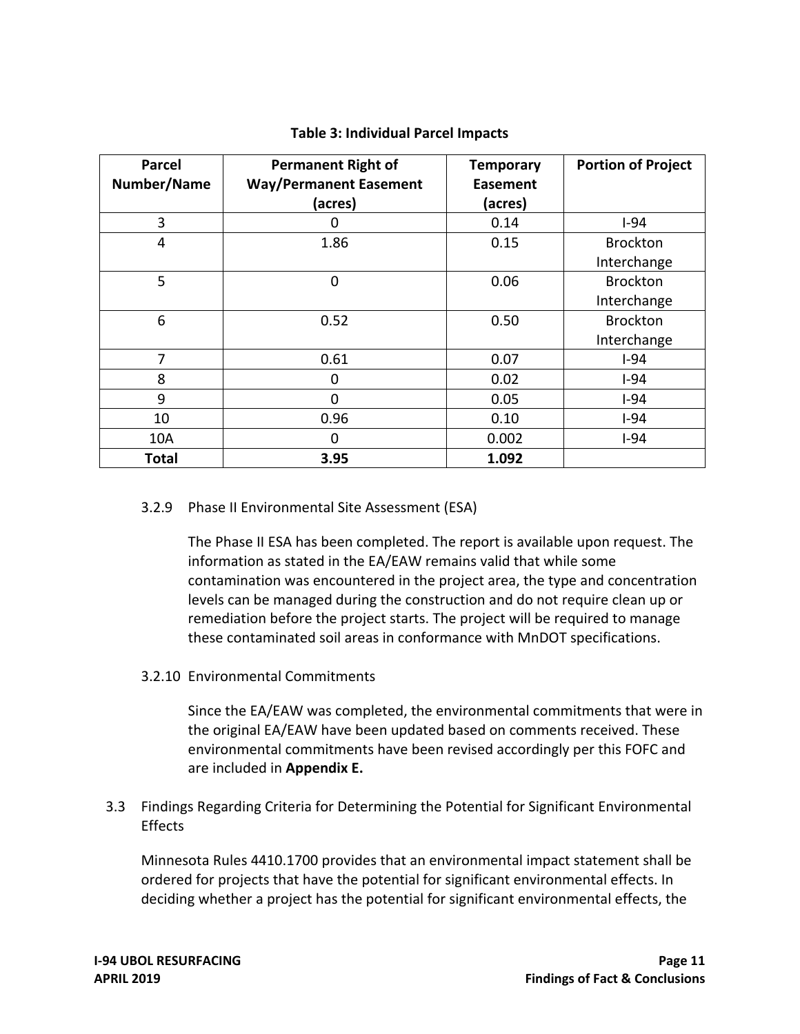| <b>Parcel</b> | <b>Permanent Right of</b>     | <b>Temporary</b> | <b>Portion of Project</b> |
|---------------|-------------------------------|------------------|---------------------------|
| Number/Name   | <b>Way/Permanent Easement</b> | <b>Easement</b>  |                           |
|               | (acres)                       | (acres)          |                           |
| 3             | 0                             | 0.14             | $I-94$                    |
| 4             | 1.86                          | 0.15             | <b>Brockton</b>           |
|               |                               |                  | Interchange               |
| 5             | $\Omega$                      | 0.06             | <b>Brockton</b>           |
|               |                               |                  | Interchange               |
| 6             | 0.52                          | 0.50             | <b>Brockton</b>           |
|               |                               |                  | Interchange               |
| 7             | 0.61                          | 0.07             | $I-94$                    |
| 8             | 0                             | 0.02             | $I-94$                    |
| 9             | ი                             | 0.05             | $I-94$                    |
| 10            | 0.96                          | 0.10             | $I-94$                    |
| 10A           | 0                             | 0.002            | $I-94$                    |
| Total         | 3.95                          | 1.092            |                           |

#### **Table 3: Individual Parcel Impacts**

#### 3.2.9 Phase II Environmental Site Assessment (ESA)

 The Phase II ESA has been completed. The report is available upon request. The information as stated in the EA/EAW remains valid that while some contamination was encountered in the project area, the type and concentration levels can be managed during the construction and do not require clean up or remediation before the project starts. The project will be required to manage these contaminated soil areas in conformance with MnDOT specifications.

3.2.10 Environmental Commitments

 Since the EA/EAW was completed, the environmental commitments that were in the original EA/EAW have been updated based on comments received. These environmental commitments have been revised accordingly per this FOFC and are included in **Appendix E.**

 3.3 Findings Regarding Criteria for Determining the Potential for Significant Environmental **Effects** 

 Minnesota Rules 4410.1700 provides that an environmental impact statement shall be ordered for projects that have the potential for significant environmental effects. In deciding whether a project has the potential for significant environmental effects, the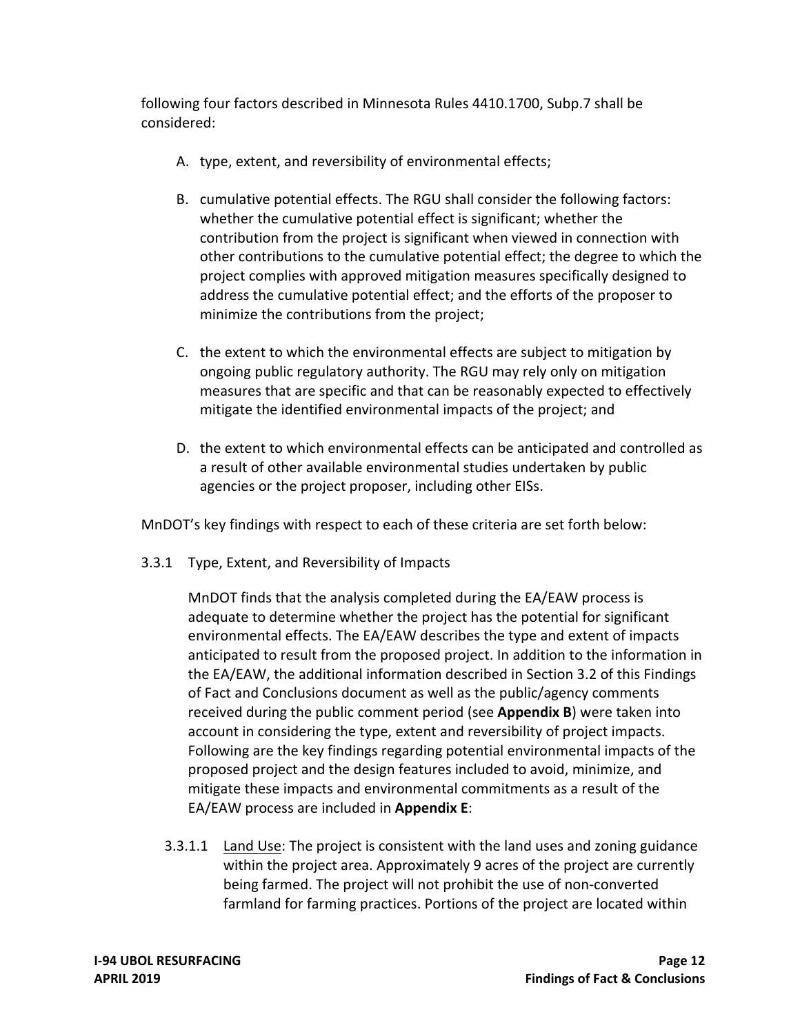following four factors described in Minnesota Rules 4410.1700, Subp.7 shall be considered:

- A. type, extent, and reversibility of environmental effects;
- B. cumulative potential effects. The RGU shall consider the following factors: whether the cumulative potential effect is significant; whether the contribution from the project is significant when viewed in connection with other contributions to the cumulative potential effect; the degree to which the project complies with approved mitigation measures specifically designed to address the cumulative potential effect; and the efforts of the proposer to minimize the contributions from the project;
- C. the extent to which the environmental effects are subject to mitigation by ongoing public regulatory authority. The RGU may rely only on mitigation measures that are specific and that can be reasonably expected to effectively mitigate the identified environmental impacts of the project; and
- D. the extent to which environmental effects can be anticipated and controlled as a result of other available environmental studies undertaken by public agencies or the project proposer, including other EISs.

MnDOT's key findings with respect to each of these criteria are set forth below:

3.3.1 Type, Extent, and Reversibility of Impacts

 MnDOT finds that the analysis completed during the EA/EAW process is adequate to determine whether the project has the potential for significant environmental effects. The EA/EAW describes the type and extent of impacts anticipated to result from the proposed project. In addition to the information in the EA/EAW, the additional information described in Section 3.2 of this Findings of Fact and Conclusions document as well as the public/agency comments received during the public comment period (see **Appendix B**) were taken into account in considering the type, extent and reversibility of project impacts. Following are the key findings regarding potential environmental impacts of the proposed project and the design features included to avoid, minimize, and mitigate these impacts and environmental commitments as a result of the EA/EAW process are included in **Appendix E**:

3.3.1.1 Land Use: The project is consistent with the land uses and zoning guidance within the project area. Approximately 9 acres of the project are currently being farmed. The project will not prohibit the use of non‐converted farmland for farming practices. Portions of the project are located within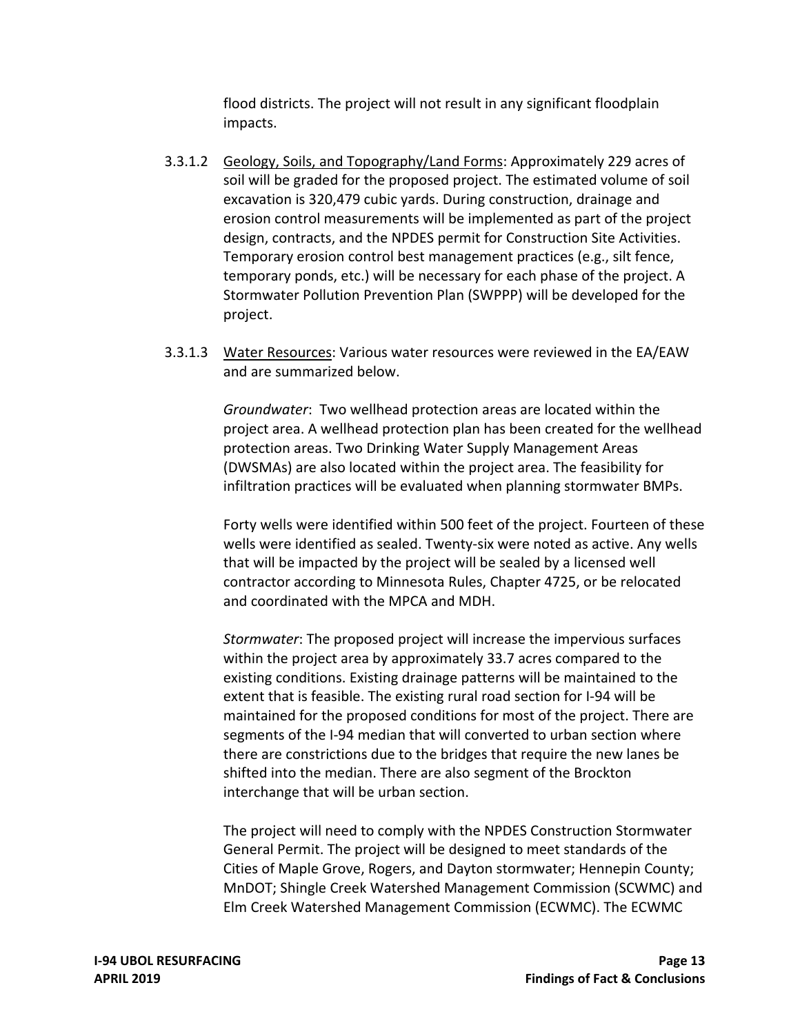flood districts. The project will not result in any significant floodplain impacts.

- 3.3.1.2 Geology, Soils, and Topography/Land Forms: Approximately 229 acres of soil will be graded for the proposed project. The estimated volume of soil excavation is 320,479 cubic yards. During construction, drainage and erosion control measurements will be implemented as part of the project design, contracts, and the NPDES permit for Construction Site Activities. Temporary erosion control best management practices (e.g., silt fence, temporary ponds, etc.) will be necessary for each phase of the project. A Stormwater Pollution Prevention Plan (SWPPP) will be developed for the project.
- 3.3.1.3 Water Resources: Various water resources were reviewed in the EA/EAW and are summarized below.

 *Groundwater*: Two wellhead protection areas are located within the project area. A wellhead protection plan has been created for the wellhead protection areas. Two Drinking Water Supply Management Areas (DWSMAs) are also located within the project area. The feasibility for infiltration practices will be evaluated when planning stormwater BMPs.

 Forty wells were identified within 500 feet of the project. Fourteen of these wells were identified as sealed. Twenty‐six were noted as active. Any wells that will be impacted by the project will be sealed by a licensed well contractor according to Minnesota Rules, Chapter 4725, or be relocated and coordinated with the MPCA and MDH.

 *Stormwater*: The proposed project will increase the impervious surfaces within the project area by approximately 33.7 acres compared to the existing conditions. Existing drainage patterns will be maintained to the extent that is feasible. The existing rural road section for I‐94 will be maintained for the proposed conditions for most of the project. There are segments of the I‐94 median that will converted to urban section where there are constrictions due to the bridges that require the new lanes be shifted into the median. There are also segment of the Brockton interchange that will be urban section.

 The project will need to comply with the NPDES Construction Stormwater General Permit. The project will be designed to meet standards of the Cities of Maple Grove, Rogers, and Dayton stormwater; Hennepin County; MnDOT; Shingle Creek Watershed Management Commission (SCWMC) and Elm Creek Watershed Management Commission (ECWMC). The ECWMC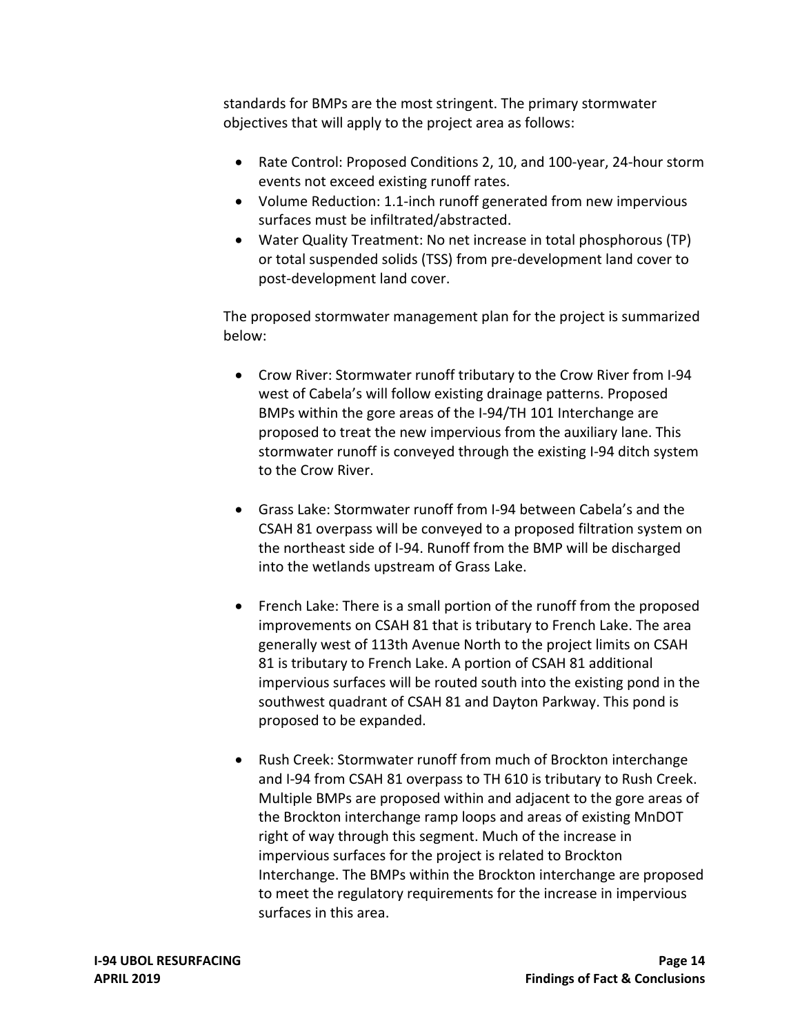standards for BMPs are the most stringent. The primary stormwater objectives that will apply to the project area as follows:

- Rate Control: Proposed Conditions 2, 10, and 100‐year, 24‐hour storm events not exceed existing runoff rates.
- Volume Reduction: 1.1‐inch runoff generated from new impervious surfaces must be infiltrated/abstracted.
- Water Quality Treatment: No net increase in total phosphorous (TP) or total suspended solids (TSS) from pre‐development land cover to post‐development land cover.

 The proposed stormwater management plan for the project is summarized below:

- Crow River: Stormwater runoff tributary to the Crow River from I-94 west of Cabela's will follow existing drainage patterns. Proposed BMPs within the gore areas of the I‐94/TH 101 Interchange are proposed to treat the new impervious from the auxiliary lane. This stormwater runoff is conveyed through the existing I‐94 ditch system to the Crow River.
- Grass Lake: Stormwater runoff from I‐94 between Cabela's and the CSAH 81 overpass will be conveyed to a proposed filtration system on the northeast side of I‐94. Runoff from the BMP will be discharged into the wetlands upstream of Grass Lake.
- French Lake: There is a small portion of the runoff from the proposed improvements on CSAH 81 that is tributary to French Lake. The area generally west of 113th Avenue North to the project limits on CSAH 81 is tributary to French Lake. A portion of CSAH 81 additional impervious surfaces will be routed south into the existing pond in the southwest quadrant of CSAH 81 and Dayton Parkway. This pond is proposed to be expanded.
- Rush Creek: Stormwater runoff from much of Brockton interchange and I‐94 from CSAH 81 overpass to TH 610 is tributary to Rush Creek. Multiple BMPs are proposed within and adjacent to the gore areas of the Brockton interchange ramp loops and areas of existing MnDOT right of way through this segment. Much of the increase in impervious surfaces for the project is related to Brockton Interchange. The BMPs within the Brockton interchange are proposed to meet the regulatory requirements for the increase in impervious surfaces in this area.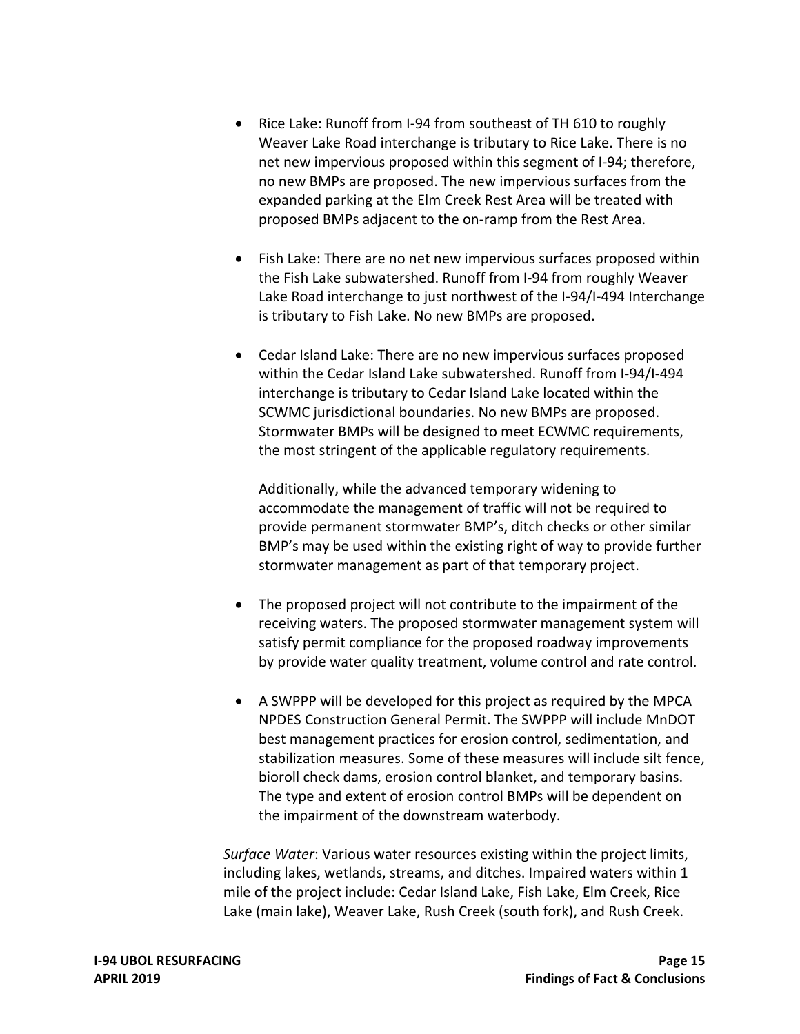- Rice Lake: Runoff from I-94 from southeast of TH 610 to roughly Weaver Lake Road interchange is tributary to Rice Lake. There is no net new impervious proposed within this segment of I‐94; therefore, no new BMPs are proposed. The new impervious surfaces from the expanded parking at the Elm Creek Rest Area will be treated with proposed BMPs adjacent to the on‐ramp from the Rest Area.
- Fish Lake: There are no net new impervious surfaces proposed within the Fish Lake subwatershed. Runoff from I‐94 from roughly Weaver Lake Road interchange to just northwest of the I‐94/I‐494 Interchange is tributary to Fish Lake. No new BMPs are proposed.
- Cedar Island Lake: There are no new impervious surfaces proposed within the Cedar Island Lake subwatershed. Runoff from I‐94/I‐494 interchange is tributary to Cedar Island Lake located within the SCWMC jurisdictional boundaries. No new BMPs are proposed. Stormwater BMPs will be designed to meet ECWMC requirements, the most stringent of the applicable regulatory requirements.

 Additionally, while the advanced temporary widening to accommodate the management of traffic will not be required to provide permanent stormwater BMP's, ditch checks or other similar BMP's may be used within the existing right of way to provide further stormwater management as part of that temporary project.

- The proposed project will not contribute to the impairment of the receiving waters. The proposed stormwater management system will satisfy permit compliance for the proposed roadway improvements by provide water quality treatment, volume control and rate control.
- A SWPPP will be developed for this project as required by the MPCA NPDES Construction General Permit. The SWPPP will include MnDOT best management practices for erosion control, sedimentation, and stabilization measures. Some of these measures will include silt fence, bioroll check dams, erosion control blanket, and temporary basins. The type and extent of erosion control BMPs will be dependent on the impairment of the downstream waterbody.

 *Surface Water*: Various water resources existing within the project limits, including lakes, wetlands, streams, and ditches. Impaired waters within 1 mile of the project include: Cedar Island Lake, Fish Lake, Elm Creek, Rice Lake (main lake), Weaver Lake, Rush Creek (south fork), and Rush Creek.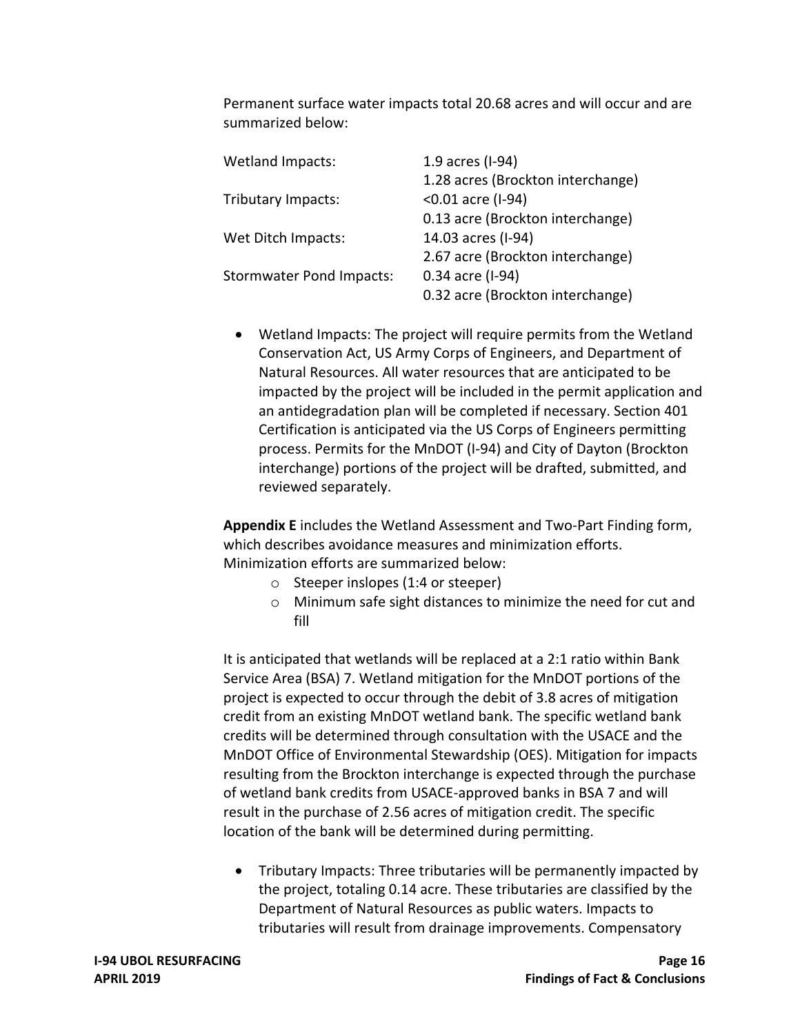Permanent surface water impacts total 20.68 acres and will occur and are summarized below:

| <b>Wetland Impacts:</b>         | 1.9 acres (I-94)                  |
|---------------------------------|-----------------------------------|
|                                 | 1.28 acres (Brockton interchange) |
| Tributary Impacts:              | <0.01 acre (I-94)                 |
|                                 | 0.13 acre (Brockton interchange)  |
| Wet Ditch Impacts:              | 14.03 acres (I-94)                |
|                                 | 2.67 acre (Brockton interchange)  |
| <b>Stormwater Pond Impacts:</b> | 0.34 acre (I-94)                  |
|                                 | 0.32 acre (Brockton interchange)  |

 Wetland Impacts: The project will require permits from the Wetland Conservation Act, US Army Corps of Engineers, and Department of Natural Resources. All water resources that are anticipated to be impacted by the project will be included in the permit application and an antidegradation plan will be completed if necessary. Section 401 Certification is anticipated via the US Corps of Engineers permitting process. Permits for the MnDOT (I‐94) and City of Dayton (Brockton interchange) portions of the project will be drafted, submitted, and reviewed separately.

 **Appendix E** includes the Wetland Assessment and Two‐Part Finding form, which describes avoidance measures and minimization efforts. Minimization efforts are summarized below:

- o Steeper inslopes (1:4 or steeper)
- o Minimum safe sight distances to minimize the need for cut and fill

 It is anticipated that wetlands will be replaced at a 2:1 ratio within Bank Service Area (BSA) 7. Wetland mitigation for the MnDOT portions of the project is expected to occur through the debit of 3.8 acres of mitigation credit from an existing MnDOT wetland bank. The specific wetland bank credits will be determined through consultation with the USACE and the MnDOT Office of Environmental Stewardship (OES). Mitigation for impacts resulting from the Brockton interchange is expected through the purchase of wetland bank credits from USACE‐approved banks in BSA 7 and will result in the purchase of 2.56 acres of mitigation credit. The specific location of the bank will be determined during permitting.

 Tributary Impacts: Three tributaries will be permanently impacted by the project, totaling 0.14 acre. These tributaries are classified by the Department of Natural Resources as public waters. Impacts to tributaries will result from drainage improvements. Compensatory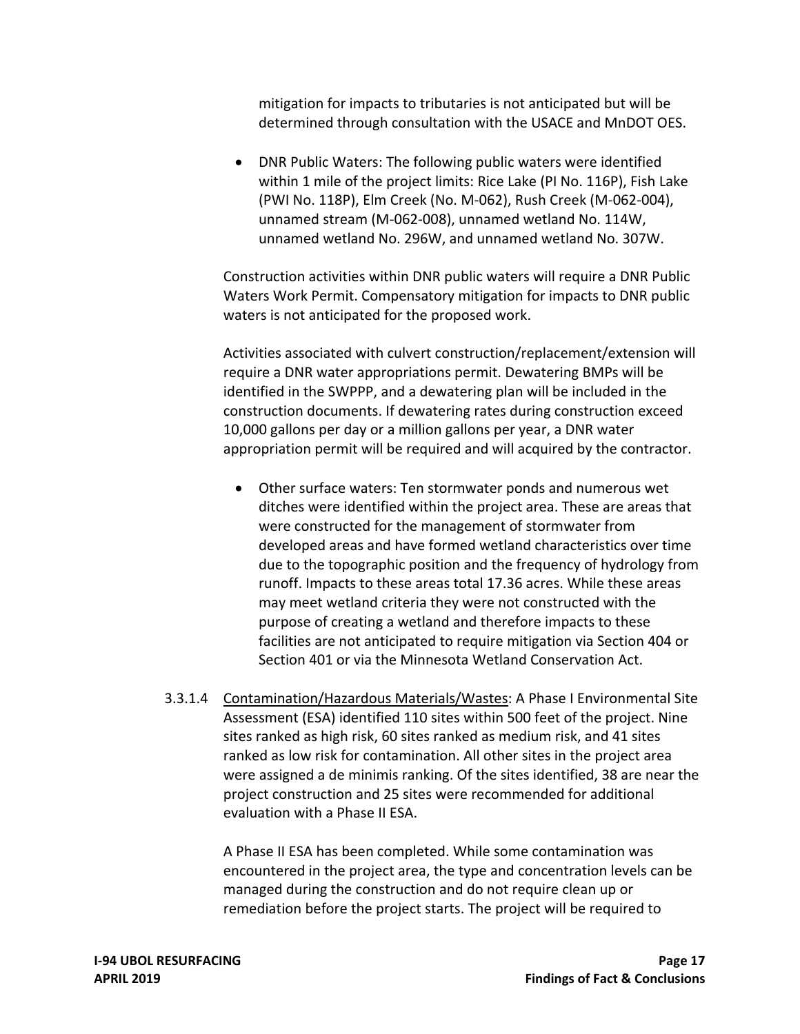mitigation for impacts to tributaries is not anticipated but will be determined through consultation with the USACE and MnDOT OES.

 DNR Public Waters: The following public waters were identified within 1 mile of the project limits: Rice Lake (PI No. 116P), Fish Lake (PWI No. 118P), Elm Creek (No. M‐062), Rush Creek (M‐062‐004), unnamed stream (M‐062‐008), unnamed wetland No. 114W, unnamed wetland No. 296W, and unnamed wetland No. 307W.

 Construction activities within DNR public waters will require a DNR Public Waters Work Permit. Compensatory mitigation for impacts to DNR public waters is not anticipated for the proposed work.

 Activities associated with culvert construction/replacement/extension will require a DNR water appropriations permit. Dewatering BMPs will be identified in the SWPPP, and a dewatering plan will be included in the construction documents. If dewatering rates during construction exceed 10,000 gallons per day or a million gallons per year, a DNR water appropriation permit will be required and will acquired by the contractor.

- Other surface waters: Ten stormwater ponds and numerous wet ditches were identified within the project area. These are areas that were constructed for the management of stormwater from developed areas and have formed wetland characteristics over time due to the topographic position and the frequency of hydrology from runoff. Impacts to these areas total 17.36 acres. While these areas may meet wetland criteria they were not constructed with the purpose of creating a wetland and therefore impacts to these facilities are not anticipated to require mitigation via Section 404 or Section 401 or via the Minnesota Wetland Conservation Act.
- 3.3.1.4 Contamination/Hazardous Materials/Wastes: A Phase I Environmental Site Assessment (ESA) identified 110 sites within 500 feet of the project. Nine sites ranked as high risk, 60 sites ranked as medium risk, and 41 sites ranked as low risk for contamination. All other sites in the project area were assigned a de minimis ranking. Of the sites identified, 38 are near the project construction and 25 sites were recommended for additional evaluation with a Phase II ESA.

 A Phase II ESA has been completed. While some contamination was encountered in the project area, the type and concentration levels can be managed during the construction and do not require clean up or remediation before the project starts. The project will be required to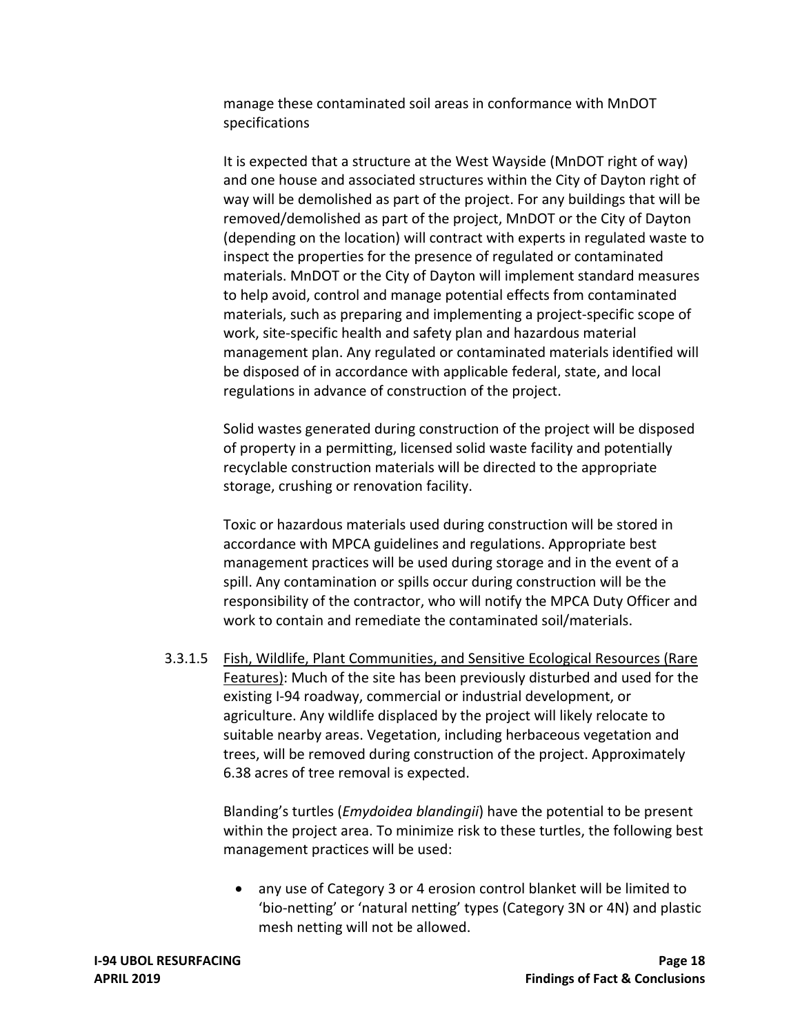manage these contaminated soil areas in conformance with MnDOT specifications

 It is expected that a structure at the West Wayside (MnDOT right of way) and one house and associated structures within the City of Dayton right of way will be demolished as part of the project. For any buildings that will be removed/demolished as part of the project, MnDOT or the City of Dayton (depending on the location) will contract with experts in regulated waste to inspect the properties for the presence of regulated or contaminated materials. MnDOT or the City of Dayton will implement standard measures to help avoid, control and manage potential effects from contaminated materials, such as preparing and implementing a project‐specific scope of work, site‐specific health and safety plan and hazardous material management plan. Any regulated or contaminated materials identified will be disposed of in accordance with applicable federal, state, and local regulations in advance of construction of the project.

 Solid wastes generated during construction of the project will be disposed of property in a permitting, licensed solid waste facility and potentially recyclable construction materials will be directed to the appropriate storage, crushing or renovation facility.

 Toxic or hazardous materials used during construction will be stored in accordance with MPCA guidelines and regulations. Appropriate best management practices will be used during storage and in the event of a spill. Any contamination or spills occur during construction will be the responsibility of the contractor, who will notify the MPCA Duty Officer and work to contain and remediate the contaminated soil/materials.

 3.3.1.5 Fish, Wildlife, Plant Communities, and Sensitive Ecological Resources (Rare Features): Much of the site has been previously disturbed and used for the existing I‐94 roadway, commercial or industrial development, or agriculture. Any wildlife displaced by the project will likely relocate to suitable nearby areas. Vegetation, including herbaceous vegetation and trees, will be removed during construction of the project. Approximately 6.38 acres of tree removal is expected.

> Blanding's turtles (*Emydoidea blandingii*) have the potential to be present within the project area. To minimize risk to these turtles, the following best management practices will be used:

 any use of Category 3 or 4 erosion control blanket will be limited to 'bio‐netting' or 'natural netting' types (Category 3N or 4N) and plastic mesh netting will not be allowed.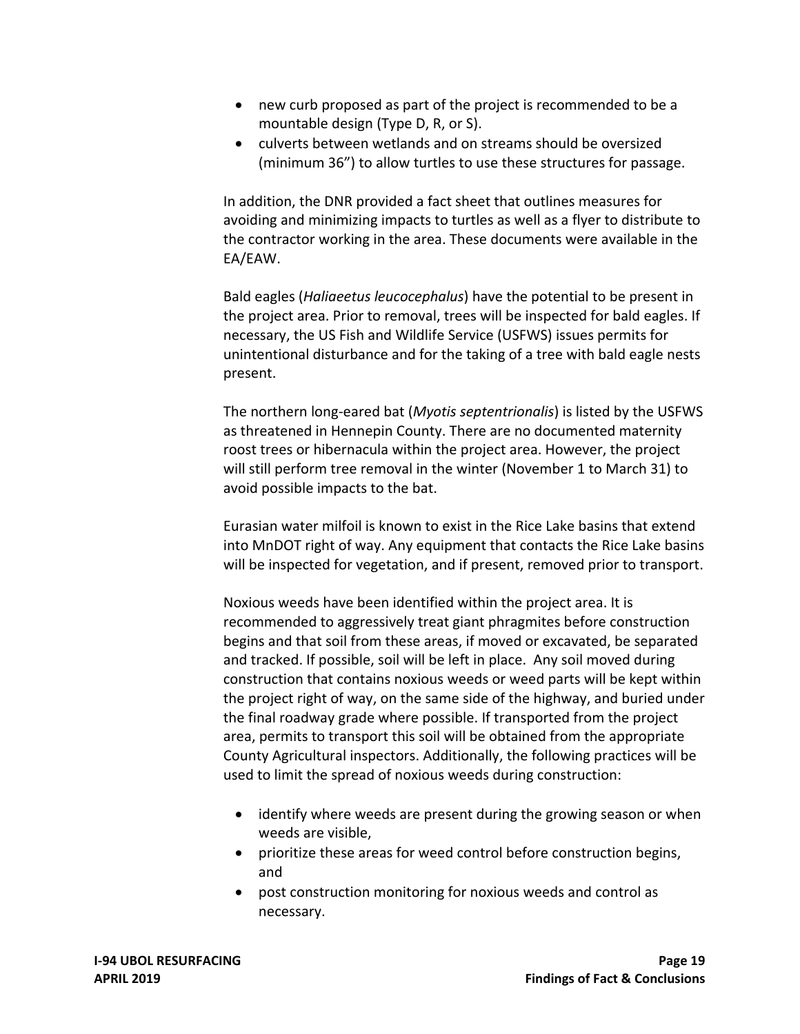- new curb proposed as part of the project is recommended to be a mountable design (Type D, R, or S).
- culverts between wetlands and on streams should be oversized (minimum 36") to allow turtles to use these structures for passage.

 In addition, the DNR provided a fact sheet that outlines measures for avoiding and minimizing impacts to turtles as well as a flyer to distribute to the contractor working in the area. These documents were available in the EA/EAW.

 Bald eagles (*Haliaeetus leucocephalus*) have the potential to be present in the project area. Prior to removal, trees will be inspected for bald eagles. If necessary, the US Fish and Wildlife Service (USFWS) issues permits for unintentional disturbance and for the taking of a tree with bald eagle nests present.

 The northern long‐eared bat (*Myotis septentrionalis*) is listed by the USFWS as threatened in Hennepin County. There are no documented maternity roost trees or hibernacula within the project area. However, the project will still perform tree removal in the winter (November 1 to March 31) to avoid possible impacts to the bat.

 Eurasian water milfoil is known to exist in the Rice Lake basins that extend into MnDOT right of way. Any equipment that contacts the Rice Lake basins will be inspected for vegetation, and if present, removed prior to transport.

 Noxious weeds have been identified within the project area. It is recommended to aggressively treat giant phragmites before construction begins and that soil from these areas, if moved or excavated, be separated and tracked. If possible, soil will be left in place. Any soil moved during construction that contains noxious weeds or weed parts will be kept within the project right of way, on the same side of the highway, and buried under the final roadway grade where possible. If transported from the project area, permits to transport this soil will be obtained from the appropriate County Agricultural inspectors. Additionally, the following practices will be used to limit the spread of noxious weeds during construction:

- identify where weeds are present during the growing season or when weeds are visible,
- prioritize these areas for weed control before construction begins, and
- post construction monitoring for noxious weeds and control as necessary.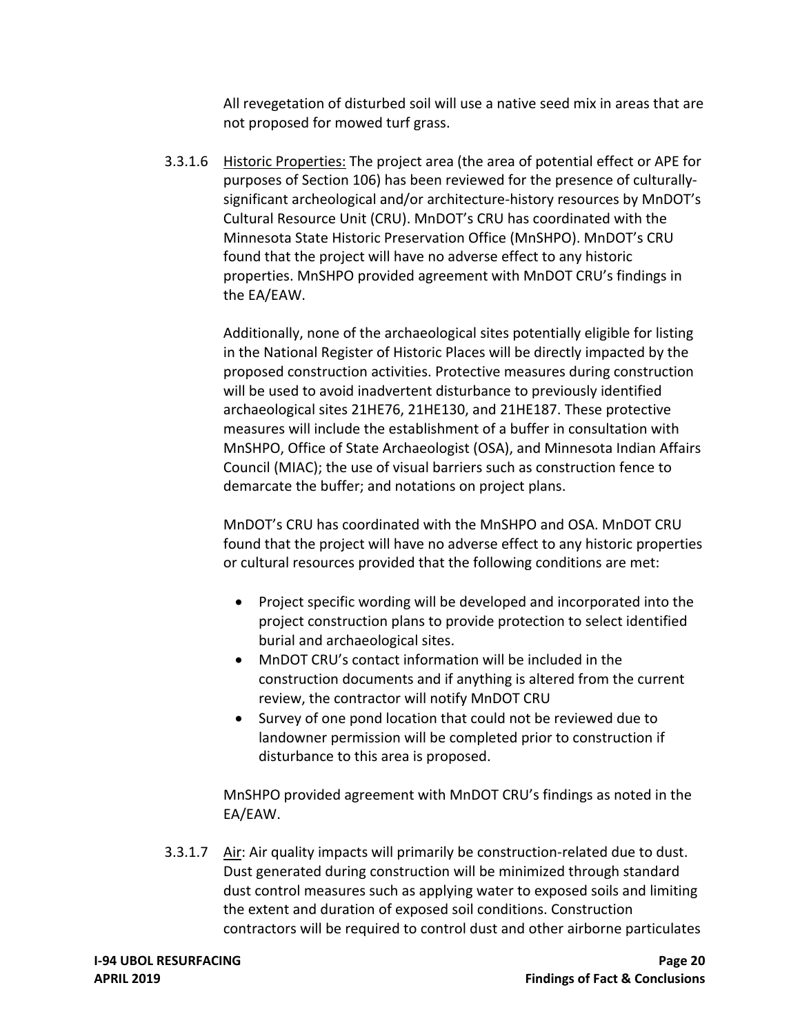All revegetation of disturbed soil will use a native seed mix in areas that are not proposed for mowed turf grass.

3.3.1.6 Historic Properties: The project area (the area of potential effect or APE for purposes of Section 106) has been reviewed for the presence of culturally‐ significant archeological and/or architecture‐history resources by MnDOT's Cultural Resource Unit (CRU). MnDOT's CRU has coordinated with the Minnesota State Historic Preservation Office (MnSHPO). MnDOT's CRU found that the project will have no adverse effect to any historic properties. MnSHPO provided agreement with MnDOT CRU's findings in the EA/EAW.

> Additionally, none of the archaeological sites potentially eligible for listing in the National Register of Historic Places will be directly impacted by the proposed construction activities. Protective measures during construction will be used to avoid inadvertent disturbance to previously identified archaeological sites 21HE76, 21HE130, and 21HE187. These protective measures will include the establishment of a buffer in consultation with MnSHPO, Office of State Archaeologist (OSA), and Minnesota Indian Affairs Council (MIAC); the use of visual barriers such as construction fence to demarcate the buffer; and notations on project plans.

> MnDOT's CRU has coordinated with the MnSHPO and OSA. MnDOT CRU found that the project will have no adverse effect to any historic properties or cultural resources provided that the following conditions are met:

- Project specific wording will be developed and incorporated into the project construction plans to provide protection to select identified burial and archaeological sites.
- MnDOT CRU's contact information will be included in the construction documents and if anything is altered from the current review, the contractor will notify MnDOT CRU
- Survey of one pond location that could not be reviewed due to landowner permission will be completed prior to construction if disturbance to this area is proposed.

 MnSHPO provided agreement with MnDOT CRU's findings as noted in the EA/EAW.

3.3.1.7 Air: Air quality impacts will primarily be construction-related due to dust. Dust generated during construction will be minimized through standard dust control measures such as applying water to exposed soils and limiting the extent and duration of exposed soil conditions. Construction contractors will be required to control dust and other airborne particulates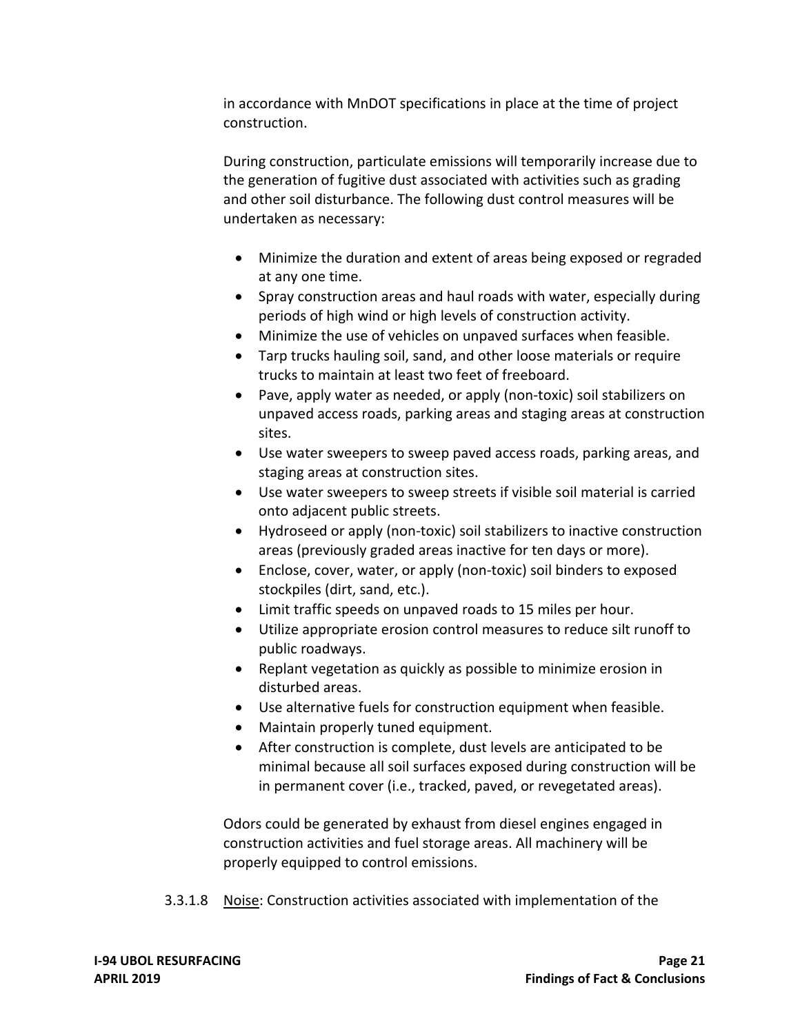in accordance with MnDOT specifications in place at the time of project construction.

 During construction, particulate emissions will temporarily increase due to the generation of fugitive dust associated with activities such as grading and other soil disturbance. The following dust control measures will be undertaken as necessary:

- Minimize the duration and extent of areas being exposed or regraded at any one time.
- Spray construction areas and haul roads with water, especially during periods of high wind or high levels of construction activity.
- Minimize the use of vehicles on unpaved surfaces when feasible.
- Tarp trucks hauling soil, sand, and other loose materials or require trucks to maintain at least two feet of freeboard.
- Pave, apply water as needed, or apply (non-toxic) soil stabilizers on unpaved access roads, parking areas and staging areas at construction sites.
- Use water sweepers to sweep paved access roads, parking areas, and staging areas at construction sites.
- Use water sweepers to sweep streets if visible soil material is carried onto adjacent public streets.
- Hydroseed or apply (non-toxic) soil stabilizers to inactive construction areas (previously graded areas inactive for ten days or more).
- Enclose, cover, water, or apply (non-toxic) soil binders to exposed stockpiles (dirt, sand, etc.).
- Limit traffic speeds on unpaved roads to 15 miles per hour.
- Utilize appropriate erosion control measures to reduce silt runoff to public roadways.
- Replant vegetation as quickly as possible to minimize erosion in disturbed areas.
- Use alternative fuels for construction equipment when feasible.
- Maintain properly tuned equipment.
- After construction is complete, dust levels are anticipated to be minimal because all soil surfaces exposed during construction will be in permanent cover (i.e., tracked, paved, or revegetated areas).

 Odors could be generated by exhaust from diesel engines engaged in construction activities and fuel storage areas. All machinery will be properly equipped to control emissions.

3.3.1.8 **Noise: Construction activities associated with implementation of the**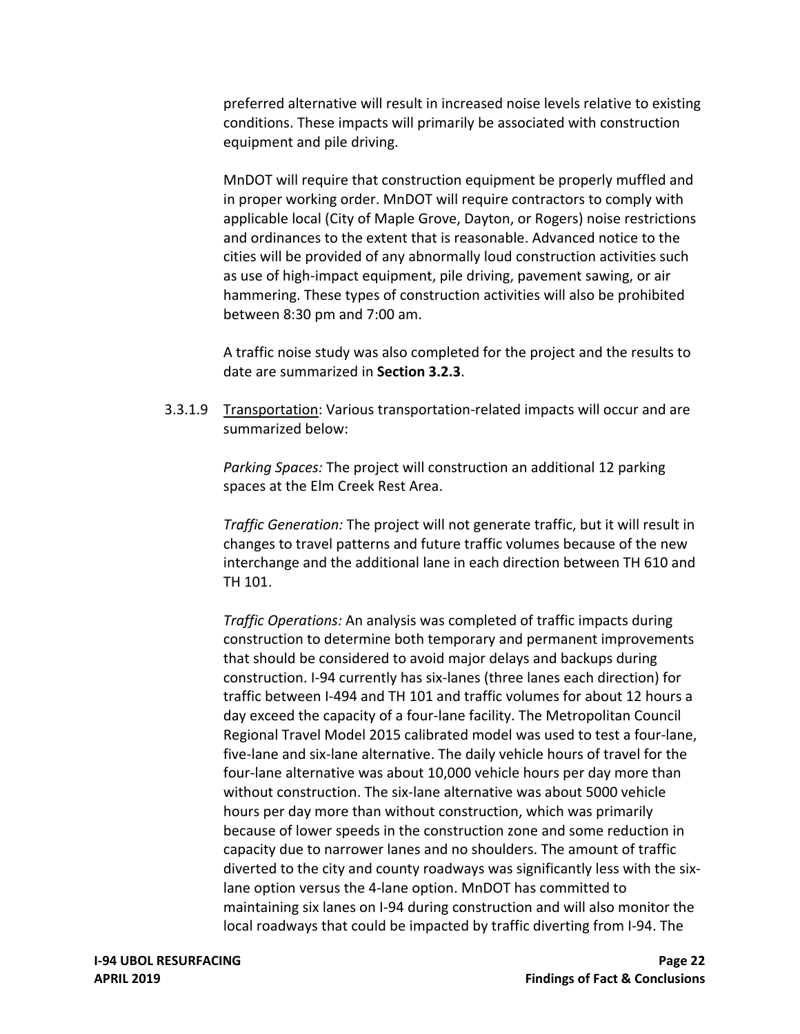preferred alternative will result in increased noise levels relative to existing conditions. These impacts will primarily be associated with construction equipment and pile driving.

 MnDOT will require that construction equipment be properly muffled and in proper working order. MnDOT will require contractors to comply with applicable local (City of Maple Grove, Dayton, or Rogers) noise restrictions and ordinances to the extent that is reasonable. Advanced notice to the cities will be provided of any abnormally loud construction activities such as use of high‐impact equipment, pile driving, pavement sawing, or air hammering. These types of construction activities will also be prohibited between 8:30 pm and 7:00 am.

 A traffic noise study was also completed for the project and the results to date are summarized in **Section 3.2.3**.

3.3.1.9 Transportation: Various transportation-related impacts will occur and are summarized below:

> *Parking Spaces:* The project will construction an additional 12 parking spaces at the Elm Creek Rest Area.

 *Traffic Generation:* The project will not generate traffic, but it will result in changes to travel patterns and future traffic volumes because of the new interchange and the additional lane in each direction between TH 610 and TH 101.

 *Traffic Operations:* An analysis was completed of traffic impacts during construction to determine both temporary and permanent improvements that should be considered to avoid major delays and backups during construction. I‐94 currently has six‐lanes (three lanes each direction) for traffic between I‐494 and TH 101 and traffic volumes for about 12 hours a day exceed the capacity of a four‐lane facility. The Metropolitan Council Regional Travel Model 2015 calibrated model was used to test a four‐lane, five‐lane and six‐lane alternative. The daily vehicle hours of travel for the four‐lane alternative was about 10,000 vehicle hours per day more than without construction. The six‐lane alternative was about 5000 vehicle hours per day more than without construction, which was primarily because of lower speeds in the construction zone and some reduction in capacity due to narrower lanes and no shoulders. The amount of traffic diverted to the city and county roadways was significantly less with the six‐ lane option versus the 4‐lane option. MnDOT has committed to maintaining six lanes on I‐94 during construction and will also monitor the local roadways that could be impacted by traffic diverting from I‐94. The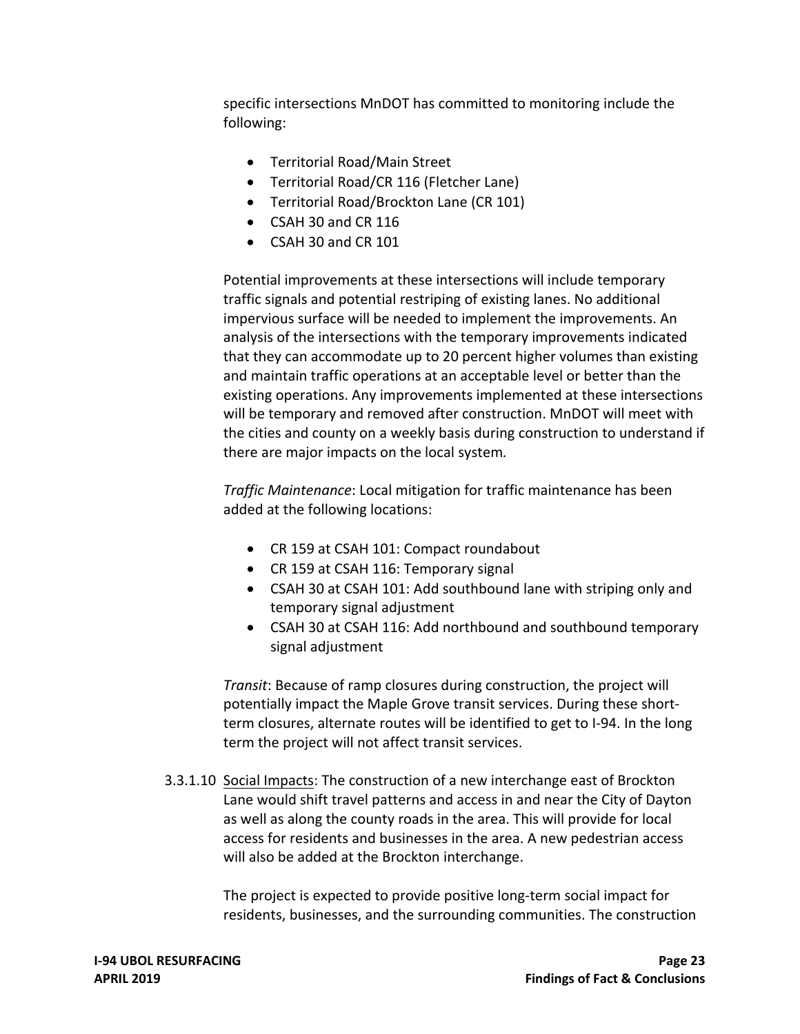specific intersections MnDOT has committed to monitoring include the following:

- Territorial Road/Main Street
- Territorial Road/CR 116 (Fletcher Lane)
- Territorial Road/Brockton Lane (CR 101)
- CSAH 30 and CR 116
- CSAH 30 and CR 101

 Potential improvements at these intersections will include temporary traffic signals and potential restriping of existing lanes. No additional impervious surface will be needed to implement the improvements. An analysis of the intersections with the temporary improvements indicated that they can accommodate up to 20 percent higher volumes than existing and maintain traffic operations at an acceptable level or better than the existing operations. Any improvements implemented at these intersections will be temporary and removed after construction. MnDOT will meet with the cities and county on a weekly basis during construction to understand if there are major impacts on the local system*.*

 *Traffic Maintenance*: Local mitigation for traffic maintenance has been added at the following locations:

- CR 159 at CSAH 101: Compact roundabout
- CR 159 at CSAH 116: Temporary signal
- CSAH 30 at CSAH 101: Add southbound lane with striping only and temporary signal adjustment
- CSAH 30 at CSAH 116: Add northbound and southbound temporary signal adjustment

 *Transit*: Because of ramp closures during construction, the project will potentially impact the Maple Grove transit services. During these short‐ term closures, alternate routes will be identified to get to I‐94. In the long term the project will not affect transit services.

[3.3.1.10](https://3.3.1.10) Social Impacts: The construction of a new interchange east of Brockton Lane would shift travel patterns and access in and near the City of Dayton as well as along the county roads in the area. This will provide for local access for residents and businesses in the area. A new pedestrian access will also be added at the Brockton interchange.

> The project is expected to provide positive long‐term social impact for residents, businesses, and the surrounding communities. The construction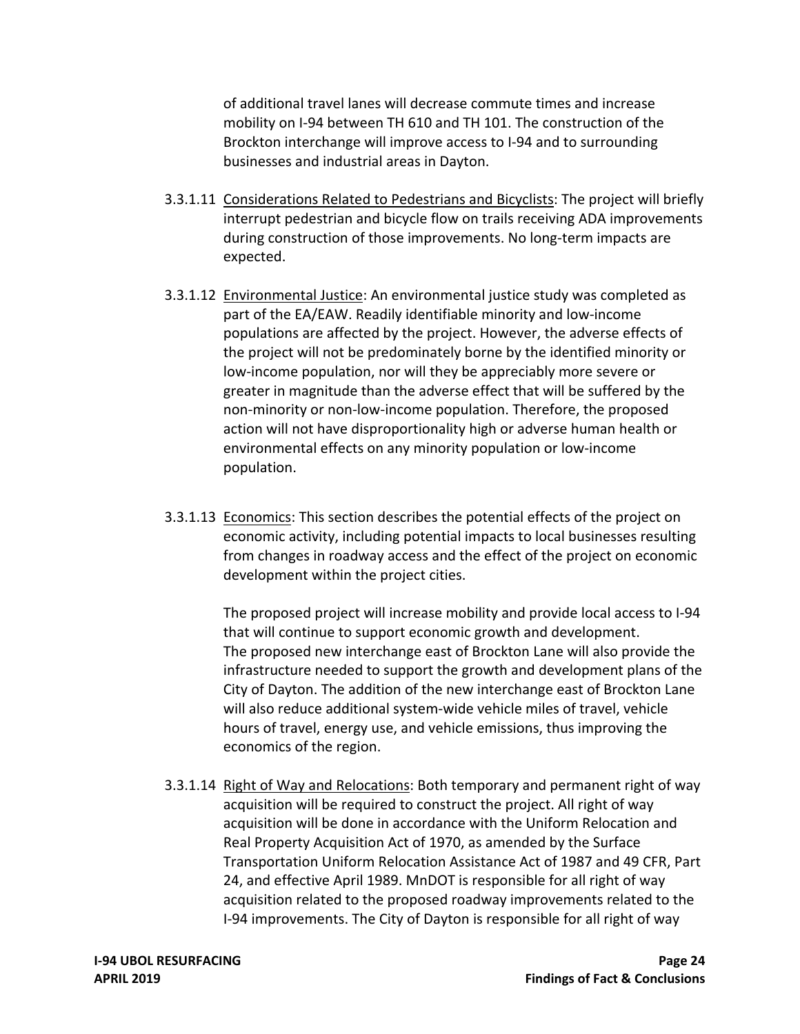of additional travel lanes will decrease commute times and increase mobility on I‐94 between TH 610 and TH 101. The construction of the Brockton interchange will improve access to I‐94 and to surrounding businesses and industrial areas in Dayton.

- [3.3.1.11](https://3.3.1.11) Considerations Related to Pedestrians and Bicyclists: The project will briefly interrupt pedestrian and bicycle flow on trails receiving ADA improvements during construction of those improvements. No long‐term impacts are expected.
- [3.3.1.12](https://3.3.1.12) Environmental Justice: An environmental justice study was completed as part of the EA/EAW. Readily identifiable minority and low‐income populations are affected by the project. However, the adverse effects of the project will not be predominately borne by the identified minority or low‐income population, nor will they be appreciably more severe or greater in magnitude than the adverse effect that will be suffered by the non‐minority or non‐low‐income population. Therefore, the proposed action will not have disproportionality high or adverse human health or environmental effects on any minority population or low‐income population.
- [3.3.1.13](https://3.3.1.13) Economics: This section describes the potential effects of the project on economic activity, including potential impacts to local businesses resulting from changes in roadway access and the effect of the project on economic development within the project cities.

 The proposed project will increase mobility and provide local access to I‐94 that will continue to support economic growth and development. The proposed new interchange east of Brockton Lane will also provide the infrastructure needed to support the growth and development plans of the City of Dayton. The addition of the new interchange east of Brockton Lane will also reduce additional system‐wide vehicle miles of travel, vehicle hours of travel, energy use, and vehicle emissions, thus improving the economics of the region.

[3.3.1.14](https://3.3.1.14) Right of Way and Relocations: Both temporary and permanent right of way acquisition will be required to construct the project. All right of way acquisition will be done in accordance with the Uniform Relocation and Real Property Acquisition Act of 1970, as amended by the Surface Transportation Uniform Relocation Assistance Act of 1987 and 49 CFR, Part 24, and effective April 1989. MnDOT is responsible for all right of way acquisition related to the proposed roadway improvements related to the I‐94 improvements. The City of Dayton is responsible for all right of way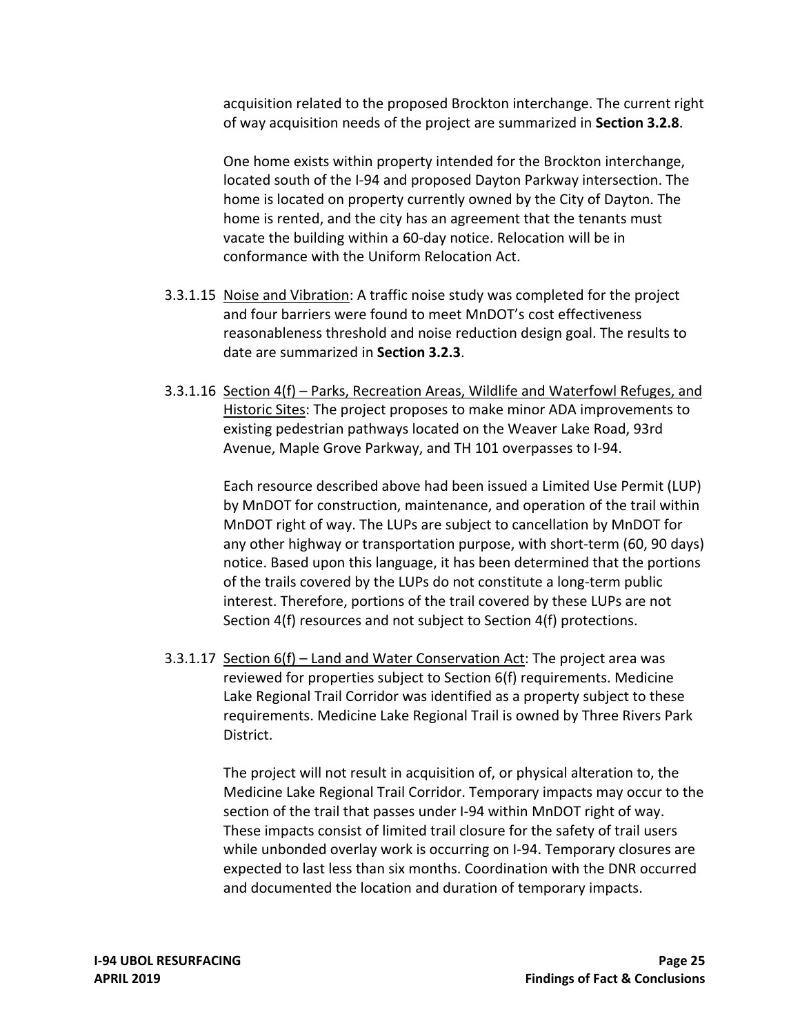acquisition related to the proposed Brockton interchange. The current right of way acquisition needs of the project are summarized in **Section 3.2.8**.

 One home exists within property intended for the Brockton interchange, located south of the I‐94 and proposed Dayton Parkway intersection. The home is located on property currently owned by the City of Dayton. The vacate the building within a 60‐day notice. Relocation will be in conformance with the Uniform Relocation Act. home is rented, and the city has an agreement that the tenants must

- [3.3.1.15](https://3.3.1.15) Noise and Vibration: A traffic noise study was completed for the project and four barriers were found to meet MnDOT's cost effectiveness reasonableness threshold and noise reduction design goal. The results to date are summarized in **Section 3.2.3**.
- [3.3.1.16](https://3.3.1.16) Section 4(f) Parks, Recreation Areas, Wildlife and Waterfowl Refuges, and Historic Sites: The project proposes to make minor ADA improvements to existing pedestrian pathways located on the Weaver Lake Road, 93rd Avenue, Maple Grove Parkway, and TH 101 overpasses to I‐94.

 Each resource described above had been issued a Limited Use Permit (LUP) by MnDOT for construction, maintenance, and operation of the trail within MnDOT right of way. The LUPs are subject to cancellation by MnDOT for any other highway or transportation purpose, with short‐term (60, 90 days) notice. Based upon this language, it has been determined that the portions of the trails covered by the LUPs do not constitute a long‐term public interest. Therefore, portions of the trail covered by these LUPs are not Section 4(f) resources and not subject to Section 4(f) protections.

[3.3.1.17](https://3.3.1.17) Section 6(f) – Land and Water Conservation Act: The project area was reviewed for properties subject to Section 6(f) requirements. Medicine Lake Regional Trail Corridor was identified as a property subject to these requirements. Medicine Lake Regional Trail is owned by Three Rivers Park District.

> The project will not result in acquisition of, or physical alteration to, the Medicine Lake Regional Trail Corridor. Temporary impacts may occur to the section of the trail that passes under I‐94 within MnDOT right of way. These impacts consist of limited trail closure for the safety of trail users while unbonded overlay work is occurring on I‐94. Temporary closures are expected to last less than six months. Coordination with the DNR occurred and documented the location and duration of temporary impacts.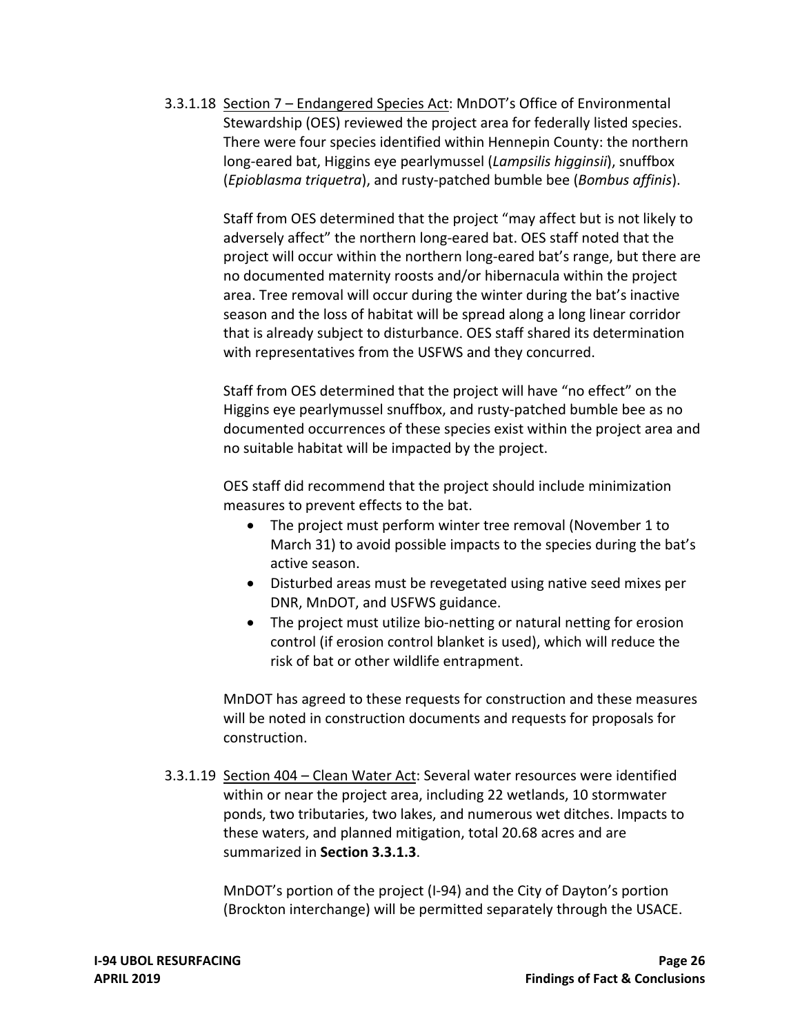[3.3.1.18](https://3.3.1.18) Section 7 – Endangered Species Act: MnDOT's Office of Environmental Stewardship (OES) reviewed the project area for federally listed species. There were four species identified within Hennepin County: the northern long‐eared bat, Higgins eye pearlymussel (*Lampsilis higginsii*), snuffbox (*Epioblasma triquetra*), and rusty‐patched bumble bee (*Bombus affinis*).

> Staff from OES determined that the project "may affect but is not likely to adversely affect" the northern long‐eared bat. OES staff noted that the project will occur within the northern long-eared bat's range, but there are no documented maternity roosts and/or hibernacula within the project area. Tree removal will occur during the winter during the bat's inactive season and the loss of habitat will be spread along a long linear corridor that is already subject to disturbance. OES staff shared its determination with representatives from the USFWS and they concurred.

> Staff from OES determined that the project will have "no effect" on the Higgins eye pearlymussel snuffbox, and rusty‐patched bumble bee as no documented occurrences of these species exist within the project area and no suitable habitat will be impacted by the project.

 OES staff did recommend that the project should include minimization measures to prevent effects to the bat.

- The project must perform winter tree removal (November 1 to March 31) to avoid possible impacts to the species during the bat's active season.
- Disturbed areas must be revegetated using native seed mixes per DNR, MnDOT, and USFWS guidance.
- The project must utilize bio-netting or natural netting for erosion control (if erosion control blanket is used), which will reduce the risk of bat or other wildlife entrapment.

 MnDOT has agreed to these requests for construction and these measures will be noted in construction documents and requests for proposals for construction.

[3.3.1.19](https://3.3.1.19) Section 404 - Clean Water Act: Several water resources were identified within or near the project area, including 22 wetlands, 10 stormwater ponds, two tributaries, two lakes, and numerous wet ditches. Impacts to these waters, and planned mitigation, total 20.68 acres and are summarized in **Section 3.3.1.3**.

> MnDOT's portion of the project (I‐94) and the City of Dayton's portion (Brockton interchange) will be permitted separately through the USACE.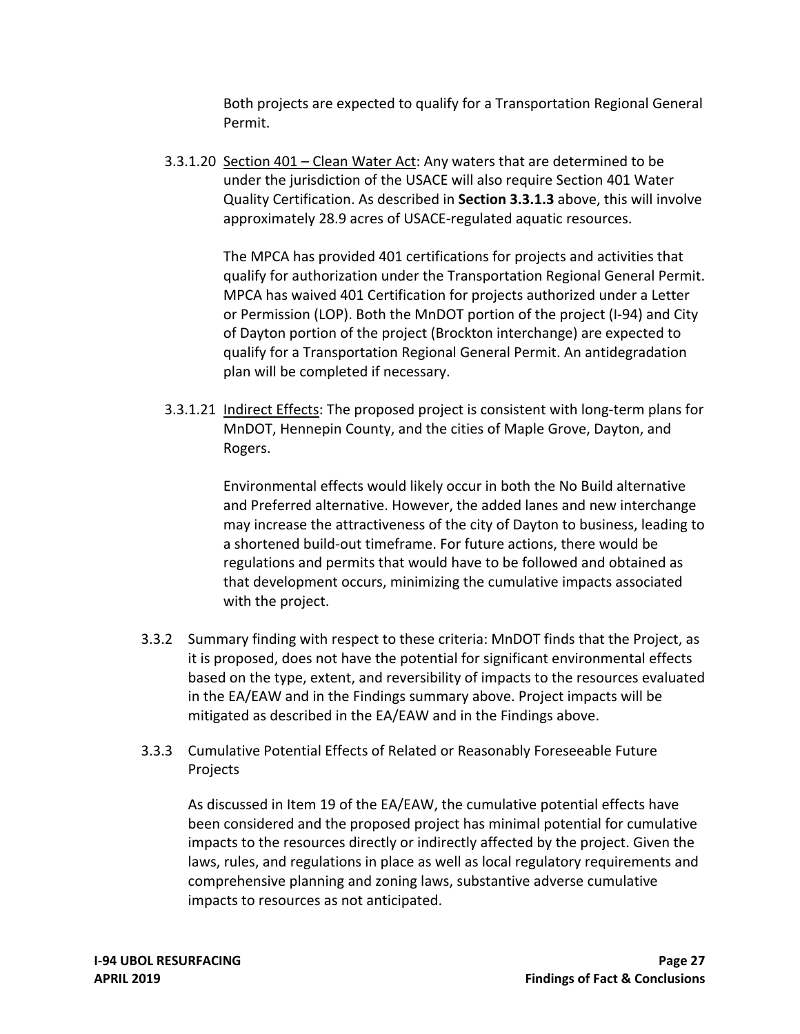Both projects are expected to qualify for a Transportation Regional General Permit.

[3.3.1.20](https://3.3.1.20) Section 401 – Clean Water Act: Any waters that are determined to be under the jurisdiction of the USACE will also require Section 401 Water Quality Certification. As described in **Section 3.3.1.3** above, this will involve approximately 28.9 acres of USACE‐regulated aquatic resources.

> The MPCA has provided 401 certifications for projects and activities that qualify for authorization under the Transportation Regional General Permit. MPCA has waived 401 Certification for projects authorized under a Letter or Permission (LOP). Both the MnDOT portion of the project (I‐94) and City of Dayton portion of the project (Brockton interchange) are expected to qualify for a Transportation Regional General Permit. An antidegradation plan will be completed if necessary.

[3.3.1.21](https://3.3.1.21) Indirect Effects: The proposed project is consistent with long-term plans for MnDOT, Hennepin County, and the cities of Maple Grove, Dayton, and Rogers.

> Environmental effects would likely occur in both the No Build alternative and Preferred alternative. However, the added lanes and new interchange may increase the attractiveness of the city of Dayton to business, leading to a shortened build‐out timeframe. For future actions, there would be regulations and permits that would have to be followed and obtained as that development occurs, minimizing the cumulative impacts associated with the project.

- 3.3.2 Summary finding with respect to these criteria: MnDOT finds that the Project, as it is proposed, does not have the potential for significant environmental effects based on the type, extent, and reversibility of impacts to the resources evaluated in the EA/EAW and in the Findings summary above. Project impacts will be mitigated as described in the EA/EAW and in the Findings above.
- 3.3.3 Cumulative Potential Effects of Related or Reasonably Foreseeable Future Projects

 As discussed in Item 19 of the EA/EAW, the cumulative potential effects have been considered and the proposed project has minimal potential for cumulative impacts to the resources directly or indirectly affected by the project. Given the laws, rules, and regulations in place as well as local regulatory requirements and comprehensive planning and zoning laws, substantive adverse cumulative impacts to resources as not anticipated.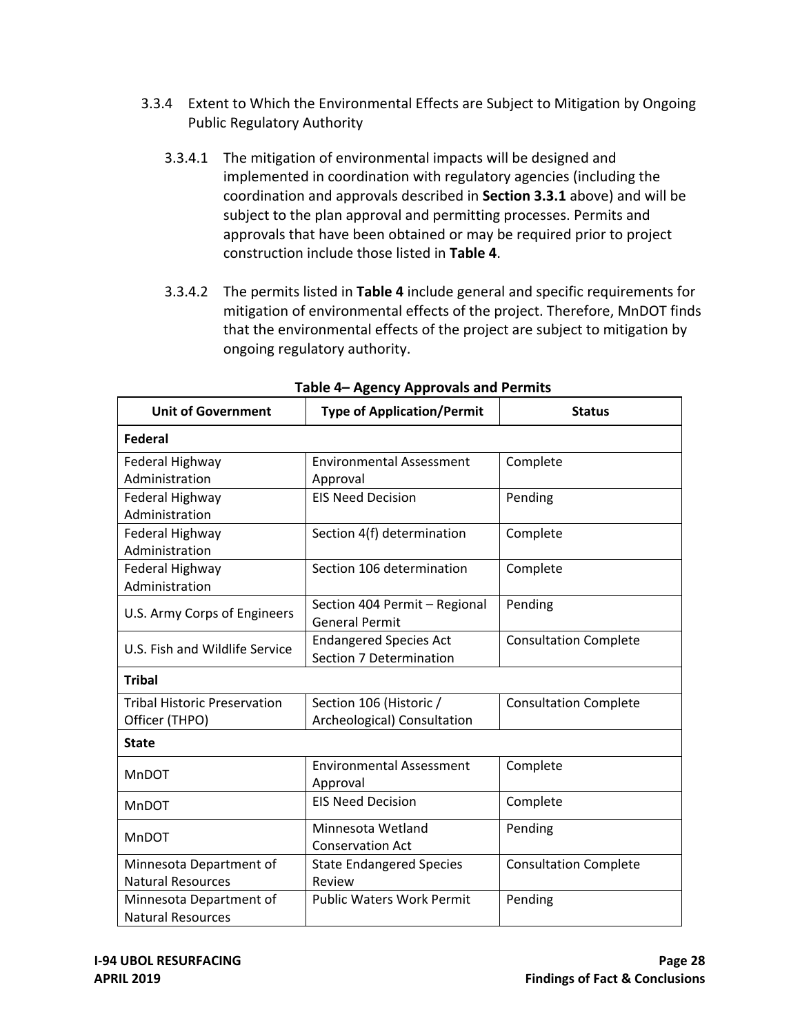- 3.3.4 Extent to Which the Environmental Effects are Subject to Mitigation by Ongoing Public Regulatory Authority
	- 3.3.4.1 The mitigation of environmental impacts will be designed and implemented in coordination with regulatory agencies (including the coordination and approvals described in **Section 3.3.1** above) and will be subject to the plan approval and permitting processes. Permits and approvals that have been obtained or may be required prior to project construction include those listed in **Table 4**.
	- 3.3.4.2 The permits listed in **Table 4** include general and specific requirements for mitigation of environmental effects of the project. Therefore, MnDOT finds that the environmental effects of the project are subject to mitigation by ongoing regulatory authority.

| <b>Unit of Government</b>                             | <b>Type of Application/Permit</b>                        | <b>Status</b>                |  |  |  |
|-------------------------------------------------------|----------------------------------------------------------|------------------------------|--|--|--|
| <b>Federal</b>                                        |                                                          |                              |  |  |  |
| Federal Highway<br>Administration                     | <b>Environmental Assessment</b><br>Approval              | Complete                     |  |  |  |
| Federal Highway<br>Administration                     | <b>EIS Need Decision</b>                                 | Pending                      |  |  |  |
| Federal Highway<br>Administration                     | Section 4(f) determination                               | Complete                     |  |  |  |
| Federal Highway<br>Administration                     | Section 106 determination                                | Complete                     |  |  |  |
| U.S. Army Corps of Engineers                          | Section 404 Permit - Regional<br><b>General Permit</b>   | Pending                      |  |  |  |
| U.S. Fish and Wildlife Service                        | <b>Endangered Species Act</b><br>Section 7 Determination | <b>Consultation Complete</b> |  |  |  |
| <b>Tribal</b>                                         |                                                          |                              |  |  |  |
| <b>Tribal Historic Preservation</b><br>Officer (THPO) | Section 106 (Historic /<br>Archeological) Consultation   | <b>Consultation Complete</b> |  |  |  |
| <b>State</b>                                          |                                                          |                              |  |  |  |
| MnDOT                                                 | <b>Environmental Assessment</b><br>Approval              | Complete                     |  |  |  |
| <b>MnDOT</b>                                          | <b>EIS Need Decision</b>                                 | Complete                     |  |  |  |
| MnDOT                                                 | Minnesota Wetland<br><b>Conservation Act</b>             | Pending                      |  |  |  |
| Minnesota Department of<br><b>Natural Resources</b>   | <b>State Endangered Species</b><br>Review                | <b>Consultation Complete</b> |  |  |  |
| Minnesota Department of<br><b>Natural Resources</b>   | <b>Public Waters Work Permit</b>                         | Pending                      |  |  |  |

 **Table 4– Agency Approvals and Permits**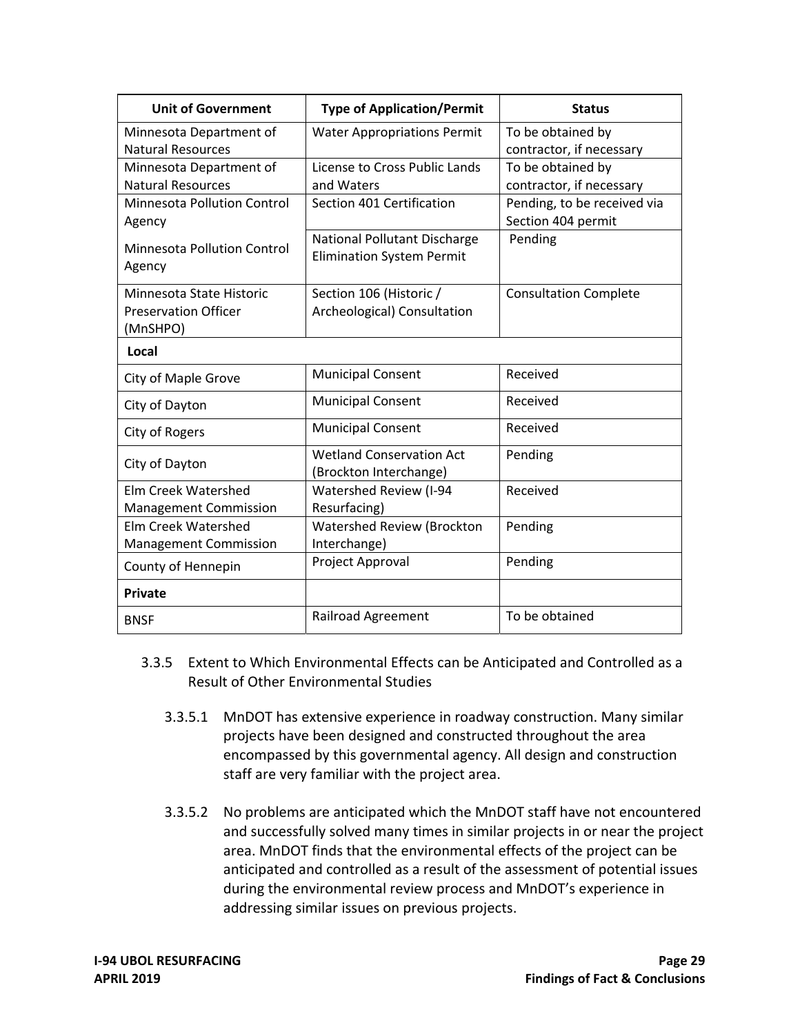| <b>Unit of Government</b>          | <b>Type of Application/Permit</b>  | <b>Status</b>                |
|------------------------------------|------------------------------------|------------------------------|
| Minnesota Department of            | <b>Water Appropriations Permit</b> | To be obtained by            |
| <b>Natural Resources</b>           |                                    | contractor, if necessary     |
| Minnesota Department of            | License to Cross Public Lands      | To be obtained by            |
| <b>Natural Resources</b>           | and Waters                         | contractor, if necessary     |
| Minnesota Pollution Control        | Section 401 Certification          | Pending, to be received via  |
| Agency                             |                                    | Section 404 permit           |
| <b>Minnesota Pollution Control</b> | National Pollutant Discharge       | Pending                      |
| Agency                             | <b>Elimination System Permit</b>   |                              |
| Minnesota State Historic           | Section 106 (Historic /            | <b>Consultation Complete</b> |
| <b>Preservation Officer</b>        | Archeological) Consultation        |                              |
| (MnSHPO)                           |                                    |                              |
| Local                              |                                    |                              |
| City of Maple Grove                | <b>Municipal Consent</b>           | Received                     |
| City of Dayton                     | <b>Municipal Consent</b>           | Received                     |
| City of Rogers                     | <b>Municipal Consent</b>           | Received                     |
| City of Dayton                     | <b>Wetland Conservation Act</b>    | Pending                      |
|                                    | (Brockton Interchange)             |                              |
| <b>Elm Creek Watershed</b>         | Watershed Review (I-94             | Received                     |
| <b>Management Commission</b>       | Resurfacing)                       |                              |
| <b>Elm Creek Watershed</b>         | <b>Watershed Review (Brockton</b>  | Pending                      |
| <b>Management Commission</b>       | Interchange)                       |                              |
| County of Hennepin                 | Project Approval                   | Pending                      |
| <b>Private</b>                     |                                    |                              |
| <b>BNSF</b>                        | Railroad Agreement                 | To be obtained               |

- 3.3.5 Extent to Which Environmental Effects can be Anticipated and Controlled as a Result of Other Environmental Studies
	- 3.3.5.1 MnDOT has extensive experience in roadway construction. Many similar projects have been designed and constructed throughout the area encompassed by this governmental agency. All design and construction staff are very familiar with the project area.
	- 3.3.5.2 No problems are anticipated which the MnDOT staff have not encountered and successfully solved many times in similar projects in or near the project area. MnDOT finds that the environmental effects of the project can be anticipated and controlled as a result of the assessment of potential issues during the environmental review process and MnDOT's experience in addressing similar issues on previous projects.